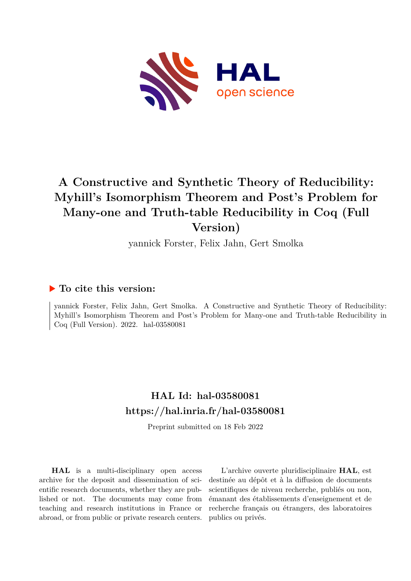

# **A Constructive and Synthetic Theory of Reducibility: Myhill's Isomorphism Theorem and Post's Problem for Many-one and Truth-table Reducibility in Coq (Full Version)**

yannick Forster, Felix Jahn, Gert Smolka

# **To cite this version:**

yannick Forster, Felix Jahn, Gert Smolka. A Constructive and Synthetic Theory of Reducibility: Myhill's Isomorphism Theorem and Post's Problem for Many-one and Truth-table Reducibility in  $Coq$  (Full Version). 2022. hal-03580081

# **HAL Id: hal-03580081 <https://hal.inria.fr/hal-03580081>**

Preprint submitted on 18 Feb 2022

**HAL** is a multi-disciplinary open access archive for the deposit and dissemination of scientific research documents, whether they are published or not. The documents may come from teaching and research institutions in France or abroad, or from public or private research centers.

L'archive ouverte pluridisciplinaire **HAL**, est destinée au dépôt et à la diffusion de documents scientifiques de niveau recherche, publiés ou non, émanant des établissements d'enseignement et de recherche français ou étrangers, des laboratoires publics ou privés.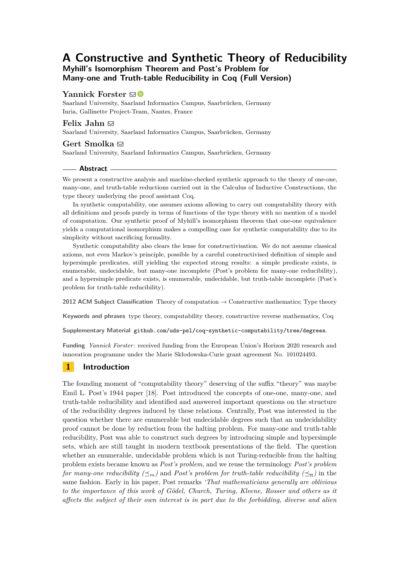## **A Constructive and Synthetic Theory of Reducibility Myhill's Isomorphism Theorem and Post's Problem for Many-one and Truth-table Reducibility in Coq (Full Version)**

### **Yannick Forster** ⊠<sup>®</sup>

Saarland University, Saarland Informatics Campus, Saarbrücken, Germany Inria, Gallinette Project-Team, Nantes, France

#### **Felix Jahn** [!](mailto:s8fejahn@stud.uni-saarland.de)

Saarland University, Saarland Informatics Campus, Saarbrücken, Germany

#### **Gert Smolka** [!](mailto:smolka@cs.uni-saarland.de)

Saarland University, Saarland Informatics Campus, Saarbrücken, Germany

#### **Abstract**

We present a constructive analysis and machine-checked synthetic approach to the theory of one-one, many-one, and truth-table reductions carried out in the Calculus of Inductive Constructions, the type theory underlying the proof assistant Coq.

In synthetic computability, one assumes axioms allowing to carry out computability theory with all definitions and proofs purely in terms of functions of the type theory with no mention of a model of computation. Our synthetic proof of Myhill's isomorphism theorem that one-one equivalence yields a computational isomorphism makes a compelling case for synthetic computability due to its simplicity without sacrificing formality.

Synthetic computability also clears the lense for constructivisation. We do not assume classical axioms, not even Markov's principle, possible by a careful constructivised definition of simple and hypersimple predicates, still yielding the expected strong results: a simple predicate exists, is enumerable, undecidable, but many-one incomplete (Post's problem for many-one reducibility), and a hypersimple predicate exists, is enumerable, undecidable, but truth-table incomplete (Post's problem for truth-table reducibility).

**2012 ACM Subject Classification** Theory of computation → Constructive mathematics; Type theory

**Keywords and phrases** type theory, computability theory, constructive reverse mathematics, Coq

**Supplementary Material** [github.com/uds-psl/coq-synthetic-computability/tree/degrees](https://github.com/uds-psl/coq-synthetic-computability/tree/degrees).

**Funding** *Yannick Forster*: received funding from the European Union's Horizon 2020 research and innovation programme under the Marie Skłodowska-Curie grant agreement No. 101024493.

### **1 Introduction**

The founding moment of "computability theory" deserving of the suffix "theory" was maybe Emil L. Post's 1944 paper [18]. Post introduced the concepts of one-one, many-one, and truth-table reducibility and identified and answered important questions on the structure of the reducibility degrees induced by these relations. Centrally, Post was interested in the question whether there are enumerable but undecidable degrees such that an undecidability proof cannot be done by reduction from the halting problem. For many-one and truth-table reducibility, Post was able to construct such degrees by introducing simple and hypersimple sets, which are still taught in modern textbook presentations of the field. The question whether an enumerable, undecidable problem which is not Turing-reducible from the halting problem exists became known as *Post's problem*, and we reuse the terminology *Post's problem for many-one reducibility*  $(\leq_m)$  and *Post's problem for truth-table reducibility*  $(\leq_t)$  in the same fashion. Early in his paper, Post remarks *'That mathematicians generally are oblivious to the importance of this work of Gödel, Church, Turing, Kleene, Rosser and others as it affects the subject of their own interest is in part due to the forbidding, diverse and alien*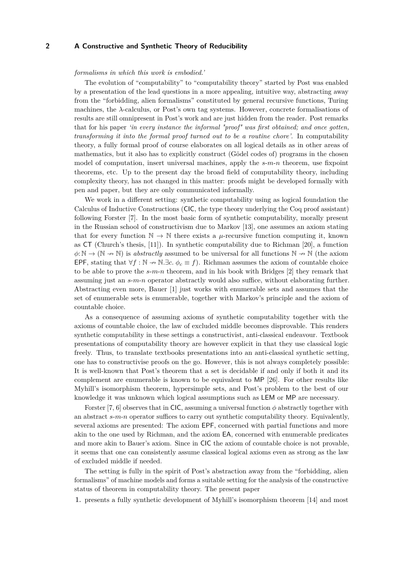*formalisms in which this work is embodied.'*

The evolution of "computability" to "computability theory" started by Post was enabled by a presentation of the lead questions in a more appealing, intuitive way, abstracting away from the "forbidding, alien formalisms" constituted by general recursive functions, Turing machines, the *λ*-calculus, or Post's own tag systems. However, concrete formalisations of results are still omnipresent in Post's work and are just hidden from the reader. Post remarks that for his paper *'in every instance the informal "proof" was first obtained; and once gotten, transforming it into the formal proof turned out to be a routine chore'*. In computability theory, a fully formal proof of course elaborates on all logical details as in other areas of mathematics, but it also has to explicitly construct (Gödel codes of) programs in the chosen model of computation, insert universal machines, apply the *s*-*m*-*n* theorem, use fixpoint theorems, etc. Up to the present day the broad field of computability theory, including complexity theory, has not changed in this matter: proofs might be developed formally with pen and paper, but they are only communicated informally.

We work in a different setting: synthetic computability using as logical foundation the Calculus of Inductive Constructions (CIC, the type theory underlying the Coq proof assistant) following Forster [7]. In the most basic form of synthetic computability, morally present in the Russian school of constructivism due to Markov [13], one assumes an axiom stating that for every function  $\mathbb{N} \to \mathbb{N}$  there exists a  $\mu$ -recursive function computing it, known as CT (Church's thesis, [11]). In synthetic computability due to Richman [20], a function  $\phi: \mathbb{N} \to (\mathbb{N} \to \mathbb{N})$  is *abstractly* assumed to be universal for all functions  $\mathbb{N} \to \mathbb{N}$  (the axiom EPF, stating that  $\forall f : \mathbb{N} \to \mathbb{N}$ . $\exists c. \phi_c \equiv f$ ). Richman assumes the axiom of countable choice to be able to prove the *s*-*m*-*n* theorem, and in his book with Bridges [2] they remark that assuming just an *s*-*m*-*n* operator abstractly would also suffice, without elaborating further. Abstracting even more, Bauer [1] just works with enumerable sets and assumes that the set of enumerable sets is enumerable, together with Markov's principle and the axiom of countable choice.

As a consequence of assuming axioms of synthetic computability together with the axioms of countable choice, the law of excluded middle becomes disprovable. This renders synthetic computability in these settings a constructivist, anti-classical endeavour. Textbook presentations of computability theory are however explicit in that they use classical logic freely. Thus, to translate textbooks presentations into an anti-classical synthetic setting, one has to constructivise proofs on the go. However, this is not always completely possible: It is well-known that Post's theorem that a set is decidable if and only if both it and its complement are enumerable is known to be equivalent to MP [26]. For other results like Myhill's isomorphism theorem, hypersimple sets, and Post's problem to the best of our knowledge it was unknown which logical assumptions such as LEM or MP are necessary.

Forster [7, 6] observes that in CIC, assuming a universal function  $\phi$  abstractly together with an abstract *s*-*m*-*n* operator suffices to carry out synthetic computability theory. Equivalently, several axioms are presented: The axiom EPF, concerned with partial functions and more akin to the one used by Richman, and the axiom EA, concerned with enumerable predicates and more akin to Bauer's axiom. Since in CIC the axiom of countable choice is not provable, it seems that one can consistently assume classical logical axioms even as strong as the law of excluded middle if needed.

The setting is fully in the spirit of Post's abstraction away from the "forbidding, alien formalisms" of machine models and forms a suitable setting for the analysis of the constructive status of theorem in computability theory. The present paper

**1.** presents a fully synthetic development of Myhill's isomorphism theorem [14] and most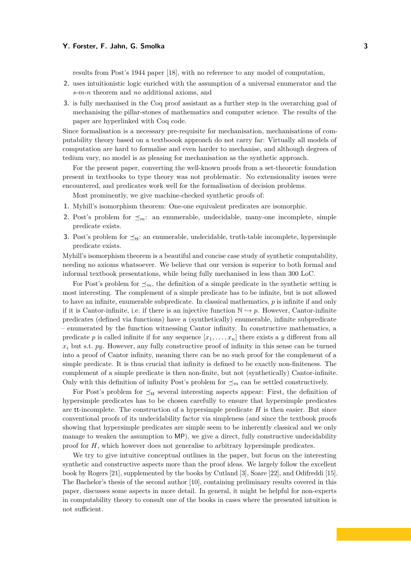#### **Y. Forster, F. Jahn, G. Smolka 3**

results from Post's 1944 paper [18], with no reference to any model of computation,

- **2.** uses intuitionistic logic enriched with the assumption of a universal enumerator and the *s*-*m*-*n* theorem and *no* additional axioms, and
- **3.** is fully mechanised in the Coq proof assistant as a further step in the overarching goal of mechanising the pillar-stones of mathematics and computer science. The results of the paper are hyperlinked with Coq code.

Since formalisation is a necessary pre-requisite for mechanisation, mechanisations of computability theory based on a textboook approach do not carry far: Virtually all models of computation are hard to formalise and even harder to mechanise, and although degrees of tedium vary, no model is as pleasing for mechanisation as the synthetic approach.

For the present paper, converting the well-known proofs from a set-theoretic foundation present in textbooks to type theory was not problematic. No extensionality issues were encountered, and predicates work well for the formalisation of decision problems.

Most prominently, we give machine-checked synthetic proofs of:

- **1.** Myhill's isomorphism theorem: One-one equivalent predicates are isomorphic.
- **2.** Post's problem for  $\leq_m$ : an enumerable, undecidable, many-one incomplete, simple predicate exists.
- **3.** Post's problem for  $\preceq_{tt}$ : an enumerable, undecidable, truth-table incomplete, hypersimple predicate exists.

Myhill's isomorphism theorem is a beautiful and concise case study of synthetic computability, needing no axioms whatsoever. We believe that our version is superior to both formal and informal textbook presentations, while being fully mechanised in less than 300 LoC.

For Post's problem for  $\leq_m$ , the definition of a simple predicate in the synthetic setting is most interesting. The complement of a simple predicate has to be infinite, but is not allowed to have an infinite, enumerable subpredicate. In classical mathematics, *p* is infinite if and only if it is Cantor-infinite, i.e. if there is an injective function  $\mathbb{N} \hookrightarrow p$ . However, Cantor-infinite predicates (defined via functions) have a (synthetically) enumerable, infinite subpredicate – enumerated by the function witnessing Cantor infinity. In constructive mathematics, a predicate *p* is called infinite if for any sequence  $[x_1, \ldots, x_n]$  there exists a *y* different from all  $x_i$  but s.t.  $py$ . However, any fully constructive proof of infinity in this sense can be turned into a proof of Cantor infinity, meaning there can be no such proof for the complement of a simple predicate. It is thus crucial that infinity is defined to be exactly non-finiteness. The complement of a simple predicate is then non-finite, but not (synthetically) Cantor-infinite. Only with this definition of infinity Post's problem for  $\preceq_m$  can be settled constructively.

For Post's problem for  $\preceq_{tt}$  several interesting aspects appear: First, the definition of hypersimple predicates has to be chosen carefully to ensure that hypersimple predicates are tt-incomplete. The construction of a hypersimple predicate *H* is then easier. But since conventional proofs of its undecidability factor via simpleness (and since the textbook proofs showing that hypersimple predicates are simple seem to be inherently classical and we only manage to weaken the assumption to MP), we give a direct, fully constructive undecidability proof for *H*, which however does not generalise to arbitrary hypersimple predicates.

We try to give intuitive conceptual outlines in the paper, but focus on the interesting synthetic and constructive aspects more than the proof ideas. We largely follow the excellent book by Rogers [21], supplemented by the books by Cutland [3], Soare [22], and Odifreddi [15]. The Bachelor's thesis of the second author [10], containing preliminary results covered in this paper, discusses some aspects in more detail. In general, it might be helpful for non-experts in computability theory to consult one of the books in cases where the presented intuition is not sufficient.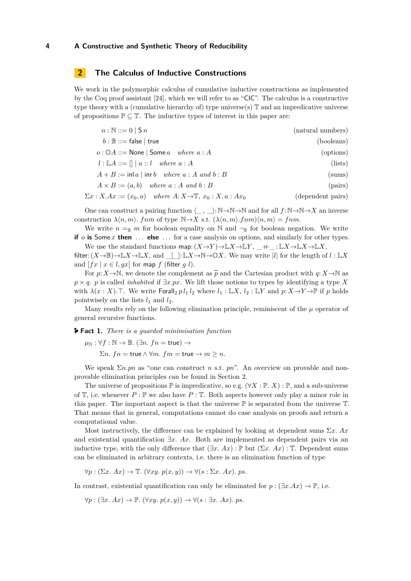### **2 The Calculus of Inductive Constructions**

We work in the polymorphic calculus of cumulative inductive constructions as implemented by the Coq proof assistant [24], which we will refer to as "CIC". The calculus is a constructive type theory with a (cumulative hierarchy of) type universe(s)  $\mathbb T$  and an impredicative universe of propositions  $\mathbb{P} \subseteq \mathbb{T}$ . The inductive types of interest in this paper are:

| $n:\mathbb{N} ::= 0   S_n$                                                               | (natural numbers) |
|------------------------------------------------------------------------------------------|-------------------|
| $b: \mathbb{B} ::=$ false   true                                                         | (booleans)        |
| $o: \mathbb{O}A ::=$ None   Some $a \quad where \quad a:A$                               | (options)         |
| $l : \mathbb{L}A ::= []   a :: l \text{ where } a : A$                                   | (lists)           |
| $A + B := \text{inl } a \mid \text{inr } b \quad \text{where } a : A \text{ and } b : B$ | (sums)            |
| $A \times B := (a, b)$ where $a : A$ and $b : B$                                         | (pairs)           |
| $\Sigma x : X.Ax := (x_0, a)$ where $A: X \rightarrow \mathbb{T}, x_0 : X, a : Ax_0$     | (dependent pairs) |

One can construct a pairing function  $\langle \_ \, , \_ \rangle : \mathbb{N} \to \mathbb{N} \to \mathbb{N}$  and for all  $f: \mathbb{N} \to \mathbb{N} \to X$  an inverse construction  $\lambda \langle n, m \rangle$ *. fnm* of type  $\mathbb{N} \rightarrow X$  s.t.  $(\lambda \langle n, m \rangle fnm) \langle n, m \rangle = fnm$ *.* 

We write  $n = B$  *m* for boolean equality on N and  $\neg B$  for boolean negation. We write **if** *o* **is** Some *x* **then** *. . .* **else** *. . .* for a case analysis on options, and similarly for other types.

We use the standard functions map:  $(X \to Y) \to \mathbb{L}X \to \mathbb{L}Y$ ,  $\_\ + \_\ \cdot \mathbb{L}X \to \mathbb{L}X \to \mathbb{L}X$ , filter:  $(X \to \mathbb{B}) \to \mathbb{L}X \to \mathbb{L}X$ , and  $[\ ]: \mathbb{L}X \to \mathbb{N} \to \mathbb{O}X$ . We may write  $|l|$  for the length of  $l: \mathbb{L}X$ and  $[fx \mid x \in l, gx]$  for map *f* (filter *g l*).

For  $p: X \to \mathbb{N}$ , we denote the complement as  $\overline{p}$  and the Cartesian product with  $q: X \to \mathbb{N}$  as  $p \times q$ . *p* is called *inhabited* if  $\exists x.px$ . We lift those notions to types by identifying a type X with  $\lambda(x: X)$ . T. We write  $\text{Forall}_2 p l_1 l_2$  where  $l_1: \mathbb{L}X$ ,  $l_2: \mathbb{L}Y$  and  $p: X \to Y \to \mathbb{P}$  if p holds pointwisely on the lists  $l_1$  and  $l_2$ .

Many results rely on the following elimination principle, reminiscent of the  $\mu$  operator of general recursive functions.

**[Fact 1.](https://ps.uni-saarland.de/extras/reducibility-degrees/coqdoc/Undecidability.Shared.mu_nat.html#mu_nat)** *There is a guarded minimisation function*

 $\mu_{\mathbb{N}} : \forall f : \mathbb{N} \to \mathbb{B}$ . ( $\exists n$ .  $fn = \mathsf{true}$ )  $\to$  $Σ*n*$ . *fn* = true  $∧ ∀*m*$ . *fm* = true  $→ m > n$ .

We speak Σ*n.pn* as "one can construct *n* s.t. *pn*". An overview on provable and nonprovable elimination principles can be found in Section 2.

The universe of propositions  $\mathbb P$  is impredicative, so e.g.  $(\forall X : \mathbb P, X) : \mathbb P$ , and a sub-universe of  $\mathbb{T}$ , i.e. whenever  $P : \mathbb{P}$  we also have  $P : \mathbb{T}$ . Both aspects however only play a minor role in this paper. The important aspect is that the universe  $\mathbb P$  is separated from the universe  $\mathbb T$ . That means that in general, computations cannot do case analysis on proofs and return a computational value.

Most instructively, the difference can be explained by looking at dependent sums  $\Sigma x$ . Ax and existential quantification ∃*x. Ax*. Both are implemented as dependent pairs via an inductive type, with the only difference that  $(\exists x. Ax) : \mathbb{P}$  but  $(\Sigma x. Ax) : \mathbb{T}$ . Dependent sums can be eliminated in arbitrary contexts, i.e. there is an elimination function of type

 $\forall p : (\Sigma x. Ax) \rightarrow \mathbb{T}$ .  $(\forall xy. p(x,y)) \rightarrow \forall (s : \Sigma x. Ax)$ . ps.

In contrast, existential quantification can only be eliminated for  $p : (\exists x.Ax) \rightarrow \mathbb{P}$ , i.e.

∀*p* : (∃*x. Ax*) → P*.* (∀*xy. p*(*x, y*)) → ∀(*s* : ∃*x. Ax*)*. ps.*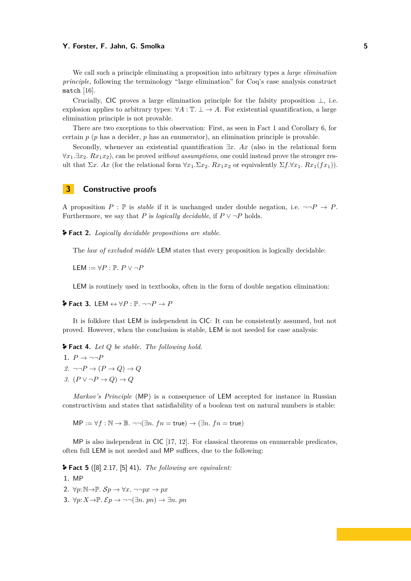#### **Y. Forster, F. Jahn, G. Smolka 5**

We call such a principle eliminating a proposition into arbitrary types a *large elimination principle*, following the terminology "large elimination" for Coq's case analysis construct match  $[16]$ .

Crucially, CIC proves a large elimination principle for the falsity proposition  $\perp$ , i.e. explosion applies to arbitrary types:  $\forall A : \mathbb{T}$ .  $\bot \to A$ . For existential quantification, a large elimination principle is not provable.

There are two exceptions to this observation: First, as seen in Fact 1 and Corollary 6, for certain  $p$  ( $p$  has a decider,  $p$  has an enumerator), an elimination principle is provable.

Secondly, whenever an existential quantification  $\exists x$ . Ax (also in the relational form ∀*x*1*.*∃*x*2*. Rx*1*x*2), can be proved *without assumptions*, one could instead prove the stronger result that  $\Sigma x$ . Ax (for the relational form  $\forall x_1 \cdot \Sigma x_2$ .  $Rx_1x_2$  or equivalently  $\Sigma f.\forall x_1$ .  $Rx_1(fx_1)$ ).

### **3 Constructive proofs**

A proposition  $P : \mathbb{P}$  is *stable* if it is unchanged under double negation, i.e.  $\neg P \rightarrow P$ . Furthermore, we say that *P* is *logically decidable*, if  $P \vee \neg P$  holds.

**[Fact 2.](https://ps.uni-saarland.de/extras/reducibility-degrees/coqdoc/Undecidability.Shared.Pigeonhole.html#ldec_stable)** *Logically decidable propositions are stable.*

The *law of excluded middle* LEM states that every proposition is logically decidable:

LEM :=  $\forall P : P \vee \neg P$ 

LEM is routinely used in textbooks, often in the form of double negation elimination:

**[Fact 3.](https://ps.uni-saarland.de/extras/reducibility-degrees/coqdoc/Undecidability.Shared.Pigeonhole.html#LEM_DNE)** LEM ↔ ∀*P* : P*.* ¬¬*P* → *P*

It is folklore that LEM is independent in CIC: It can be consistently assumed, but not proved. However, when the conclusion is stable, LEM is not needed for case analysis:

**[Fact 4.](https://ps.uni-saarland.de/extras/reducibility-degrees/coqdoc/Undecidability.Shared.Pigeonhole.html#negative_dn)** *Let Q be stable. The following hold.*

1.  $P \rightarrow \neg \neg P$ *[2.](https://ps.uni-saarland.de/extras/reducibility-degrees/coqdoc/Undecidability.Shared.Pigeonhole.html#negative_dn)* ¬¬*P* → (*P* → *Q*) → *Q [3.](https://ps.uni-saarland.de/extras/reducibility-degrees/coqdoc/Undecidability.Shared.Pigeonhole.html#negative_ca)*  $(P ∨ ¬P → Q) → Q$ 

*Markov's Principle* (MP) is a consequence of LEM accepted for instance in Russian constructivism and states that satisfiability of a boolean test on natural numbers is stable:

 $MP := \forall f : \mathbb{N} \to \mathbb{B}$ .  $\neg\neg(\exists n. fm = \text{true}) \to (\exists n. fn = \text{true})$ 

MP is also independent in CIC [17, 12]. For classical theorems on enumerable predicates, often full LEM is not needed and MP suffices, due to the following:

**[Fact 5](https://ps.uni-saarland.de/extras/reducibility-degrees/coqdoc/Undecidability.Axioms.principles.html#MP_semidecidable_ex_to_MP_semidecidable)** ([8] 2.17, [5] 41)**.** *The following are equivalent:*

**1.** MP 2.  $\forall p: \mathbb{N} \rightarrow \mathbb{P}$ .  $\mathcal{S}p \rightarrow \forall x. \neg \neg px \rightarrow px$ 

**3.** ∀*p*: *X*→P*.* E*p* → ¬¬(∃*n. pn*) → ∃*n. pn*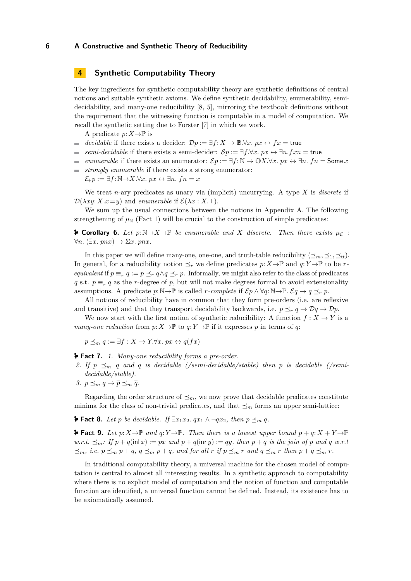### **4 Synthetic Computability Theory**

The key ingredients for synthetic computability theory are synthetic definitions of central notions and suitable synthetic axioms. We define synthetic decidability, enumerability, semidecidability, and many-one reducibility [8, 5], mirroring the textbook definitions without the requirement that the witnessing function is computable in a model of computation. We recall the synthetic setting due to Forster [7] in which we work.

A predicate  $p: X \to \mathbb{P}$  is

- *decidable* if there exists a decider:  $\mathcal{D}p := \exists f: X \to \mathbb{B} \forall x. px \leftrightarrow fx = \text{true}$ er.
- *semi-decidable* if there exists a semi-decider:  $\mathcal{S}p := \exists f.\forall x. p x \leftrightarrow \exists n. f x n =$  true  $\sim$
- *enumerable* if there exists an enumerator:  $\mathcal{E}p := \exists f : \mathbb{N} \to \mathbb{O}X$ .  $\forall x. px \leftrightarrow \exists n. fn = \mathsf{Some}\,x$
- *strongly enumerable* if there exists a strong enumerator:  $\blacksquare$  $\mathcal{E}_+ p := \exists f : \mathbb{N} \rightarrow X. \forall x. \ p x \leftrightarrow \exists n. \ fn = x$

We treat *n*-ary predicates as unary via (implicit) uncurrying. A type *X* is *discrete* if  $\mathcal{D}(\lambda x y: X.x = y)$  and *enumerable* if  $\mathcal{E}(\lambda x: X.\top)$ .

We sum up the usual connections between the notions in Appendix A. The following strengthening of  $\mu_N$  (Fact 1) will be crucial to the construction of simple predicates:

**F** [Corollary 6.](https://ps.uni-saarland.de/extras/reducibility-degrees/coqdoc/Undecidability.Axioms.principles.html#mu_enumerable) Let  $p: \mathbb{N} \to X \to \mathbb{P}$  be enumerable and X discrete. Then there exists  $\mu_{\mathcal{E}}$ :  $∀n. (∃x. pn x) → ∑x. pn x.$ 

In this paper we will define many-one, one-one, and truth-table reducibility  $(\preceq_m, \preceq_1, \preceq_t)$ . In general, for a reducibility notion  $\preceq_r$  we define predicates  $p: X \to \mathbb{P}$  and  $q: Y \to \mathbb{P}$  to be *requivalent* if  $p \equiv_r q := p \preceq_r q \land q \preceq_r p$ . Informally, we might also refer to the class of predicates *q* s.t.  $p \equiv_r q$  as the *r*-degree of *p*, but will not make degrees formal to avoid extensionality assumptions. A predicate  $p: \mathbb{N} \to \mathbb{P}$  is called *r-complete* if  $\mathcal{E}p \land \forall q: \mathbb{N} \to \mathbb{P}$ .  $\mathcal{E}q \to q \leq_r p$ .

All notions of reducibility have in common that they form pre-orders (i.e. are reflexive and transitive) and that they transport decidability backwards, i.e.  $p \leq r q \rightarrow \mathcal{D}q \rightarrow \mathcal{D}p$ .

We now start with the first notion of synthetic reducibility: A function  $f: X \to Y$  is a *many-one reduction* from  $p: X \to \mathbb{P}$  to  $q: Y \to \mathbb{P}$  if it expresses p in terms of q:

$$
p \preceq_m q := \exists f : X \to Y. \forall x. \ px \leftrightarrow q(fx)
$$

**[Fact 7.](https://ps.uni-saarland.de/extras/reducibility-degrees/coqdoc/Undecidability.Synthetic.reductions.html#red_m_transitive)** *[1.](https://ps.uni-saarland.de/extras/reducibility-degrees/coqdoc/Undecidability.Synthetic.reductions.html#red_m_reflexive) Many-one reducibility forms a pre-order.*

- [2.](https://ps.uni-saarland.de/extras/reducibility-degrees/coqdoc/Undecidability.Synthetic.reductions.html#red_m_transports) If  $p \leq_m q$  and  $q$  is decidable (/semi-decidable/stable) then  $p$  is decidable (/semi*decidable/stable).*
- *[3.](https://ps.uni-saarland.de/extras/reducibility-degrees/coqdoc/Undecidability.Synthetic.reductions.html#red_m_complement)*  $p \leq_m q \rightarrow \overline{p} \leq_m \overline{q}$ .

Regarding the order structure of  $\preceq_m$ , we now prove that decidable predicates constitute minima for the class of non-trivial predicates, and that  $\preceq_m$  forms an upper semi-lattice:

**≯ [Fact 8.](https://ps.uni-saarland.de/extras/reducibility-degrees/coqdoc/Undecidability.Synthetic.reductions.html#red_m_decidable_nontriv)** Let *p* be decidable. If  $\exists x_1 x_2$ ,  $qx_1 \land \neg qx_2$ , then  $p \leq_m q$ .

**[Fact 9.](https://ps.uni-saarland.de/extras/reducibility-degrees/coqdoc/Undecidability.Synthetic.reductions.html#red_m_join_p)** Let  $p: X \to \mathbb{P}$  and  $q: Y \to \mathbb{P}$ . Then there is a lowest upper bound  $p + q: X + Y \to \mathbb{P}$ w.r.t.  $\preceq_m$ : If  $p + q(\text{inl } x) := px$  and  $p + q(\text{inr } y) := qy$ , then  $p + q$  is the join of p and q w.r.t.  $\preceq_m$ , *i.e.*  $p \preceq_m p + q$ ,  $q \preceq_m p + q$ , and for all r if  $p \preceq_m r$  and  $q \preceq_m r$  then  $p + q \preceq_m r$ .

In traditional computability theory, a universal machine for the chosen model of computation is central to almost all interesting results. In a synthetic approach to computability where there is no explicit model of computation and the notion of function and computable function are identified, a universal function cannot be defined. Instead, its existence has to be axiomatically assumed.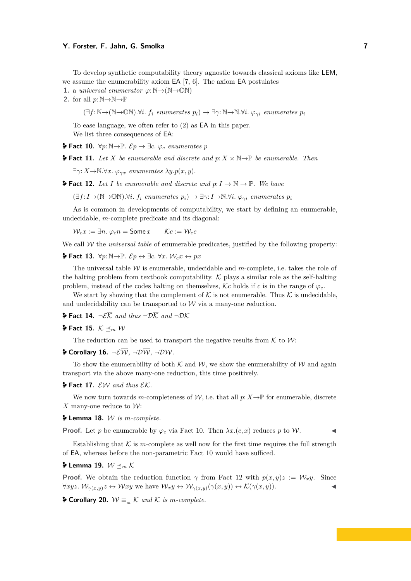#### **Y. Forster, F. Jahn, G. Smolka 7**

To develop synthetic computability theory agnostic towards classical axioms like LEM, we assume the enumerability axiom EA [7, 6]. The axiom EA postulates

- **1.** a *universal enumerator*  $\varphi: \mathbb{N} \rightarrow (\mathbb{N} \rightarrow \mathbb{ON})$
- **2.** for all  $p: \mathbb{N} \rightarrow \mathbb{N} \rightarrow \mathbb{P}$

 $(\exists f : \mathbb{N} \rightarrow \mathbb{N}) \rightarrow \forall i$ .  $f_i$  enumerates  $p_i$ )  $\rightarrow \exists \gamma : \mathbb{N} \rightarrow \mathbb{N} \rightarrow \forall i$ .  $\varphi_{\gamma i}$  enumerates  $p_i$ 

To ease language, we often refer to (2) as EA in this paper.

We list three consequences of EA:

**≯ [Fact 10.](https://ps.uni-saarland.de/extras/reducibility-degrees/coqdoc/Undecidability.Synthetic.reductions.html#do_EA)**  $\forall p: \mathbb{N} \rightarrow \mathbb{P}$ *.*  $\mathcal{E}p \rightarrow \exists c$ *.*  $\varphi_c$  *enumerates*  $p$ 

**[Fact 11.](https://ps.uni-saarland.de/extras/reducibility-degrees/coqdoc/Undecidability.Synthetic.reductions.html#EAS)** Let *X* be enumerable and discrete and  $p: X \times \mathbb{N} \rightarrow \mathbb{P}$  be enumerable. Then

 $\exists \gamma: X \rightarrow \mathbb{N} \forall x. \varphi_{\gamma x}$  *enumerates*  $\lambda y. p(x, y)$ .

**[Fact 12.](https://ps.uni-saarland.de/extras/reducibility-degrees/coqdoc/Undecidability.Synthetic.reductions.html#EAS_datatype)** Let *I* be enumerable and discrete and  $p: I \to \mathbb{N} \to \mathbb{P}$ . We have

 $(\exists f: I \rightarrow (\mathbb{N} \rightarrow \mathbb{ON}) \cdot \forall i.$  *f<sub>i</sub>* enumerates  $p_i) \rightarrow \exists \gamma: I \rightarrow \mathbb{N} \cdot \forall i.$   $\varphi_{\gamma i}$  enumerates  $p_i$ 

As is common in developments of computability, we start by defining an enumerable, undecidable, *m*-complete predicate and its diagonal:

 $W_c x := \exists n. \ \varphi_c n = \textsf{Some } x \qquad \mathcal{K}c := \mathcal{W}_c c$ 

We call  $W$  the *universal table* of enumerable predicates, justified by the following property:

**≯ [Fact 13.](https://ps.uni-saarland.de/extras/reducibility-degrees/coqdoc/Undecidability.Synthetic.reductions.html#W_spec)**  $\forall p: \mathbb{N} \rightarrow \mathbb{P}$ *.*  $\mathcal{E}p \leftrightarrow \exists c. \forall x. \mathcal{W}_c x \leftrightarrow px$ 

The universal table  $W$  is enumerable, undecidable and  $m$ -complete, i.e. takes the role of the halting problem from textbook computability.  $K$  plays a similar role as the self-halting problem, instead of the codes halting on themselves, Kc holds if c is in the range of  $\varphi_c$ .

We start by showing that the complement of K is not enumerable. Thus K is undecidable, and undecidability can be transported to  $W$  via a many-one reduction.

**[Fact 14.](https://ps.uni-saarland.de/extras/reducibility-degrees/coqdoc/Undecidability.Synthetic.reductions.html#K0_not_enumerable)**  $\neg \mathcal{E} \overline{\mathcal{K}}$  and thus  $\neg \mathcal{D} \overline{\mathcal{K}}$  and  $\neg \mathcal{D} \mathcal{K}$ 

**[Fact 15.](https://ps.uni-saarland.de/extras/reducibility-degrees/coqdoc/Undecidability.Synthetic.reductions.html#K0_red)**  $K \leq_m W$ 

The reduction can be used to transport the negative results from  $K$  to  $W$ :

**[Corollary 16.](https://ps.uni-saarland.de/extras/reducibility-degrees/coqdoc/Undecidability.Synthetic.reductions.html#W_not_enumerable)**  $\neg \mathcal{E} \overline{\mathcal{W}}$ ,  $\neg \mathcal{D} \overline{\mathcal{W}}$ ,  $\neg \mathcal{D} \mathcal{W}$ .

To show the enumerability of both  $\mathcal K$  and  $\mathcal W$ , we show the enumerability of  $\mathcal W$  and again transport via the above many-one reduction, this time positively.

**[Fact 17.](https://ps.uni-saarland.de/extras/reducibility-degrees/coqdoc/Undecidability.Synthetic.reductions.html#enumerable_W)** EW *and thus* EK*.*

We now turn towards *m*-completeness of W, i.e. that all  $p: X \to \mathbb{P}$  for enumerable, discrete *X* many-one reduce to  $W$ :

**[Lemma 18.](https://ps.uni-saarland.de/extras/reducibility-degrees/coqdoc/Undecidability.Synthetic.reductions.html#m_complete_W)** W *is m-complete.*

**Proof.** Let *p* be enumerable by  $\varphi_c$  via Fact 10. Then  $\lambda x.(c, x)$  reduces *p* to W.

Establishing that  $K$  is *m*-complete as well now for the first time requires the full strength of EA, whereas before the non-parametric Fact 10 would have sufficed.

**[Lemma 19.](https://ps.uni-saarland.de/extras/reducibility-degrees/coqdoc/Undecidability.Synthetic.reductions.html#W_red_K0)**  $W \leq_m K$ 

**Proof.** We obtain the reduction function  $\gamma$  from Fact 12 with  $p(x, y)z := \mathcal{W}_x y$ . Since  $\forall xyz. \ W_{\gamma(x,y)}z \leftrightarrow Wxy$  we have  $W_xy \leftrightarrow W_{\gamma(x,y)}(\gamma(x,y)) \leftrightarrow \mathcal{K}(\gamma(x,y)).$ 

**≯ [Corollary 20.](https://ps.uni-saarland.de/extras/reducibility-degrees/coqdoc/Undecidability.Synthetic.reductions.html#m_complete_K0)**  $W \equiv_{m} K$  and K is m-complete.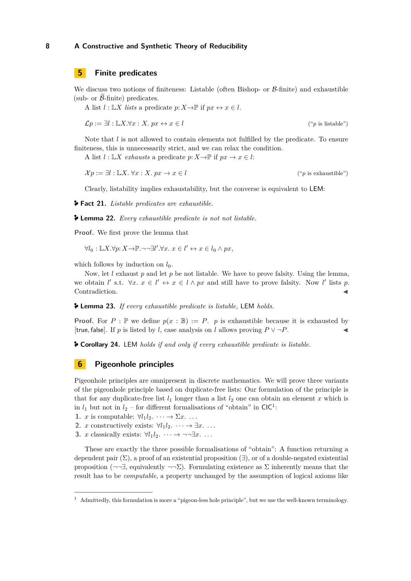### **5 Finite predicates**

We discuss two notions of finiteness: Listable (often Bishop- or  $\beta$ -finite) and exhaustible (sub- or  $\beta$ -finite) predicates.

A list  $l : \mathbb{L}X$  *lists* a predicate  $p: X \to \mathbb{P}$  if  $px \leftrightarrow x \in l$ .

$$
\mathcal{L}p := \exists l : \mathbb{L}X. \forall x : X. px \leftrightarrow x \in l \tag{``p is listable''}
$$

Note that *l* is not allowed to contain elements not fulfilled by the predicate. To ensure finiteness, this is unnecessarily strict, and we can relax the condition.

A list  $l : \mathbb{L}X$  *exhausts* a predicate  $p: X \to \mathbb{P}$  if  $px \to x \in l$ :

$$
\mathcal{X}p := \exists l : \mathbb{L}X. \,\forall x : X. \, px \to x \in l \tag{``p is exhaustive''}
$$

Clearly, listability implies exhaustability, but the converse is equivalent to LEM:

**[Fact 21.](https://ps.uni-saarland.de/extras/reducibility-degrees/coqdoc/Undecidability.Synthetic.FinitenessFacts.html#listable_exhaustible)** *Listable predicates are exhaustible.*

**[Lemma 22.](https://ps.uni-saarland.de/extras/reducibility-degrees/coqdoc/Undecidability.Synthetic.FinitenessFacts.html#exhaustible_listable)** *Every exhaustible predicate is not not listable.*

**Proof.** We first prove the lemma that

 $\forall l_0: \mathbb{L}X. \forall p: X \rightarrow \mathbb{P}.\neg\neg \exists l'. \forall x. \ x \in l' \leftrightarrow x \in l_0 \land px,$ 

which follows by induction on  $l_0$ .

Now, let  $l$  exhaust  $p$  and let  $p$  be not listable. We have to prove falsity. Using the lemma, we obtain *l'* s.t.  $\forall x. x \in l' \leftrightarrow x \in l \land px$  and still have to prove falsity. Now *l'* lists *p*. Contradiction.

**[Lemma 23.](https://ps.uni-saarland.de/extras/reducibility-degrees/coqdoc/Undecidability.Synthetic.FinitenessFacts.html#exhaustible_listable_LEM)** *If every exhaustible predicate is listable,* LEM *holds.*

**Proof.** For  $P : \mathbb{P}$  we define  $p(x : \mathbb{B}) := P$ . *p* is exhaustible because it is exhausted by [true, false]. If *p* is listed by *l*, case analysis on *l* allows proving  $P \vee \neg P$ .

**[Corollary 24.](https://ps.uni-saarland.de/extras/reducibility-degrees/coqdoc/Undecidability.Synthetic.FinitenessFacts.html#exhaustible_listable_LEM_iff)** LEM *holds if and only if every exhaustible predicate is listable.*

#### **6 Pigeonhole principles**

Pigeonhole principles are omnipresent in discrete mathematics. We will prove three variants of the pigeonhole principle based on duplicate-free lists: Our formulation of the principle is that for any duplicate-free list  $l_1$  longer than a list  $l_2$  one can obtain an element x which is in  $l_1$  but not in  $l_2$  – for different formalisations of "obtain" in  $ClC^1$ :

**1.** *x* is computable:  $\forall l_1 l_2 \dots \rightarrow \Sigma x \dots$ 

- 2. *x* constructively exists:  $\forall l_1 l_2 \dots \rightarrow \exists x \dots$
- **3.** *x* classically exists:  $\forall l_1 l_2 \dots \rightarrow \neg \exists x \dots$

These are exactly the three possible formalisations of "obtain": A function returning a dependent pair  $(\Sigma)$ , a proof of an existential proposition  $(\exists)$ , or of a double-negated existential proposition (¬¬∃, equivalently ¬¬∑). Formulating existence as  $\Sigma$  inherently means that the result has to be *computable*, a property unchanged by the assumption of logical axioms like

 $1$  Admittedly, this formulation is more a "pigeon-less hole principle", but we use the well-known terminology.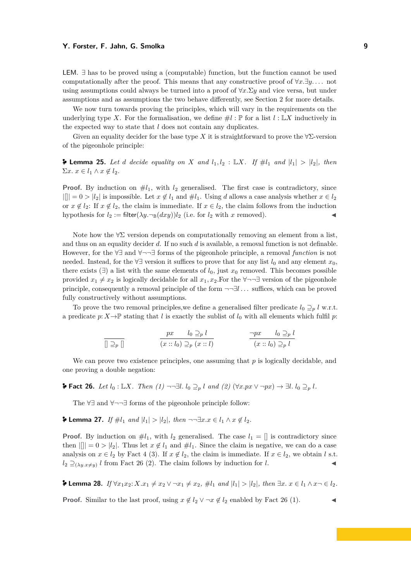#### **Y. Forster, F. Jahn, G. Smolka 9**

LEM. ∃ has to be proved using a (computable) function, but the function cannot be used computationally after the proof. This means that any constructive proof of ∀*x.*∃*y. . . .* not using assumptions could always be turned into a proof of ∀*x.*Σ*y* and vice versa, but under assumptions and as assumptions the two behave differently, see Section 2 for more details.

We now turn towards proving the principles, which will vary in the requirements on the underlying type X. For the formalisation, we define  $\#l : \mathbb{P}$  for a list  $l : \mathbb{L}X$  inductively in the expected way to state that *l* does not contain any duplicates.

Given an equality decider for the base type *X* it is straightforward to prove the  $\forall \Sigma$ -version of the pigeonhole principle:

**25.** *Let d decide equality on X and*  $l_1, l_2$  : LX. If  $\#l_1$  *and*  $|l_1| > |l_2|$ *, then*  $\Sigma x. x \in l_1 \wedge x \notin l_2.$ 

**Proof.** By induction on  $#l_1$ , with  $l_2$  generalised. The first case is contradictory, since  $|||| = 0 > |l_2|$  is impossible. Let  $x \notin l_1$  and  $\#l_1$ . Using *d* allows a case analysis whether  $x \in l_2$ or  $x \notin l_2$ : If  $x \notin l_2$ , the claim is immediate. If  $x \in l_2$ , the claim follows from the induction hypothesis for  $l_2 := \text{filter}(\lambda y \cdot \neg_{\mathbb{B}}(dxy)) l_2$  (i.e. for  $l_2$  with *x* removed).

Note how the  $\forall \Sigma$  version depends on computationally removing an element from a list, and thus on an equality decider *d*. If no such *d* is available, a removal function is not definable. However, for the ∀∃ and ∀¬¬∃ forms of the pigeonhole principle, a removal *function* is not needed. Instead, for the ∀∃ version it suffices to prove that for any list  $l_0$  and any element  $x_0$ , there exists ( $\exists$ ) a list with the same elements of  $l_0$ , just  $x_0$  removed. This becomes possible provided  $x_1 \neq x_2$  is logically decidable for all  $x_1, x_2$ . For the  $\forall \neg \neg \exists$  version of the pigeonhole principle, consequently a removal principle of the form ¬¬∃*l . . .* suffices, which can be proved fully constructively without assumptions.

To prove the two removal principles,we define a generalised filter predicate  $l_0 \supseteq_l l$  w.r.t. a predicate  $p: X \to \mathbb{P}$  stating that *l* is exactly the sublist of  $l_0$  with all elements which fulfil  $p:$ 

$$
\frac{px}{\Box p \Box} \qquad \qquad \frac{px}{(x::l_0) \supseteq_p (x::l)} \qquad \qquad \frac{\neg px \quad l_0 \supseteq_p l}{(x::l_0) \supseteq_p l}
$$

We can prove two existence principles, one assuming that *p* is logically decidable, and one proving a double negation:

**≯** [Fact 26.](https://ps.uni-saarland.de/extras/reducibility-degrees/coqdoc/Undecidability.Shared.Pigeonhole.html#is_remove_nnex) *Let*  $l_0$  :  $\mathbb{L}X$ *. Then*  $(1)$  ¬¬ $\exists l$ *.*  $l_0 \supseteq p l$  *and*  $(2)$   $(\forall x . px \vee \neg px) \rightarrow \exists l$ *.*  $l_0 \supseteq_p l$ *.* 

The ∀∃ and ∀¬¬∃ forms of the pigeonhole principle follow:

 $\blacktriangleright$  **[Lemma 27.](https://ps.uni-saarland.de/extras/reducibility-degrees/coqdoc/Undecidability.Shared.Pigeonhole.html#pigeonhole_constructive)** *If*  $\#l_1$  *and*  $|l_1| > |l_2|$ *, then* ¬¬∃*x.x* ∈  $l_1 \wedge x \notin l_2$ *.* 

**Proof.** By induction on  $\#l_1$ , with  $l_2$  generalised. The case  $l_1 = []$  is contradictory since then  $||| = 0 > |l_2|$ . Thus let  $x \notin l_1$  and  $\#l_1$ . Since the claim is negative, we can do a case analysis on  $x \in l_2$  by Fact 4 (3). If  $x \notin l_2$ , the claim is immediate. If  $x \in l_2$ , we obtain *l* s.t.  $l_2 \supseteq_{(\lambda y. x \neq y)} l$  from Fact 26 (2). The claim follows by induction for *l*.

**1** [Lemma 28.](https://ps.uni-saarland.de/extras/reducibility-degrees/coqdoc/Undecidability.Shared.Pigeonhole.html#pigeonhole) If  $\forall x_1 x_2 : X.x_1 \neq x_2 \lor \neg x_1 \neq x_2$ ,  $\#l_1$  and  $|l_1| > |l_2|$ , then  $\exists x. x \in l_1 \land x \neg \in l_2$ .

**Proof.** Similar to the last proof, using  $x \notin l_2 \vee \neg x \notin l_2$  enabled by Fact 26 (1).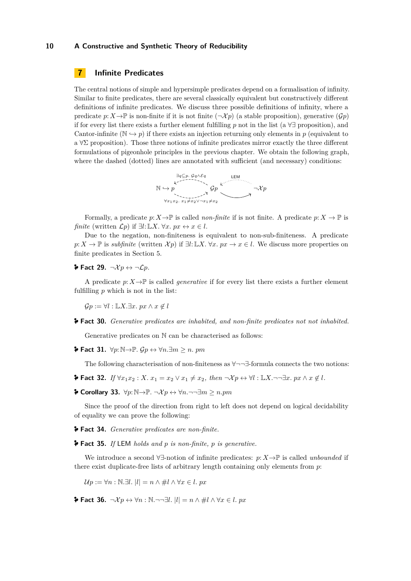### **7 Infinite Predicates**

The central notions of simple and hypersimple predicates depend on a formalisation of infinity. Similar to finite predicates, there are several classically equivalent but constructively different definitions of infinite predicates. We discuss three possible definitions of infinity, where a predicate  $p: X \to \mathbb{P}$  is non-finite if it is not finite  $(\neg \mathcal{X}p)$  (a stable proposition), generative  $(\mathcal{G}p)$ if for every list there exists a further element fulfilling *p* not in the list (a ∀∃ proposition), and Cantor-infinite ( $\mathbb{N} \hookrightarrow p$ ) if there exists an injection returning only elements in *p* (equivalent to a ∀Σ proposition). Those three notions of infinite predicates mirror exactly the three different formulations of pigeonhole principles in the previous chapter. We obtain the following graph, where the dashed (dotted) lines are annotated with sufficient (and necessary) conditions:



Formally, a predicate  $p: X \to \mathbb{P}$  is called *non-finite* if is not finite. A predicate  $p: X \to \mathbb{P}$  is *finite* (written  $\mathcal{L}p$ ) if  $\exists l: \mathbb{L}X$ .  $\forall x. px \leftrightarrow x \in l$ .

Due to the negation, non-finiteness is equivalent to non-sub-finiteness. A predicate *p*:  $X \to \mathbb{P}$  is *subfinite* (written  $\mathcal{X}p$ ) if  $\exists l: \mathbb{L}X$ .  $\forall x. px \to x \in l$ . We discuss more properties on finite predicates in Section 5.

**[Fact 29.](https://ps.uni-saarland.de/extras/reducibility-degrees/coqdoc/Undecidability.Synthetic.FinitenessFacts.html#non_listable_non_exhaustible_iff)**  $\neg \mathcal{X}p \leftrightarrow \neg \mathcal{L}p$ .

A predicate  $p: X \to \mathbb{P}$  is called *generative* if for every list there exists a further element fulfilling *p* which is not in the list:

 $Gp := \forall l : \mathbb{L}X \exists x. px \land x \notin l$ 

**[Fact 30.](https://ps.uni-saarland.de/extras/reducibility-degrees/coqdoc/Undecidability.Synthetic.FinitenessFacts.html#generative_inhabited)** *Generative predicates are inhabited, and non-finite predicates not not inhabited.*

Generative predicates on N can be characterised as follows:

**[Fact 31.](https://ps.uni-saarland.de/extras/reducibility-degrees/coqdoc/Undecidability.Synthetic.FinitenessFacts.html#generative_nat)** ∀*p*: N→P*.* G*p* ↔ ∀*n.*∃*m* ≥ *n. pm*

The following characterisation of non-finiteness as  $\forall \neg \neg \exists$ -formula connects the two notions:

- **≯ [Fact 32.](https://ps.uni-saarland.de/extras/reducibility-degrees/coqdoc/Undecidability.Synthetic.FinitenessFacts.html#non_finite_spec)** *If*  $\forall x_1 x_2 : X \ldotp x_1 = x_2 \lor x_1 \neq x_2$ , then  $\neg \mathcal{X} p \leftrightarrow \forall l : \mathbb{L} X \ldotp \neg \neg \exists x \ldotp px \land x \notin l$ .
- **[Corollary 33.](https://ps.uni-saarland.de/extras/reducibility-degrees/coqdoc/Undecidability.Synthetic.FinitenessFacts.html#non_finite_nat)** ∀*p*: N→P*.* ¬X *p* ↔ ∀*n.*¬¬∃*m* ≥ *n.pm*

Since the proof of the direction from right to left does not depend on logical decidability of equality we can prove the following:

**[Fact 34.](https://ps.uni-saarland.de/extras/reducibility-degrees/coqdoc/Undecidability.Synthetic.FinitenessFacts.html#generative_non_exhaustible)** *Generative predicates are non-finite.*

**[Fact 35.](https://ps.uni-saarland.de/extras/reducibility-degrees/coqdoc/Undecidability.Synthetic.FinitenessFacts.html#non_exhaustible_generative)** *If* LEM *holds and p is non-finite, p is generative.*

We introduce a second ∀∃-notion of infinite predicates: *p*: *X*→P is called *unbounded* if there exist duplicate-free lists of arbitrary length containing only elements from *p*:

 $Up := \forall n : \mathbb{N}.\exists l. |l| = n \wedge \#l \wedge \forall x \in l.$  px

**[Fact 36.](https://ps.uni-saarland.de/extras/reducibility-degrees/coqdoc/Undecidability.Synthetic.FinitenessFacts.html#unbounded_weakly_unbounded)**  $\neg \mathcal{X} p \leftrightarrow \forall n : \mathbb{N}.\neg \neg \exists l. |l| = n \land \#l \land \forall x \in l. px$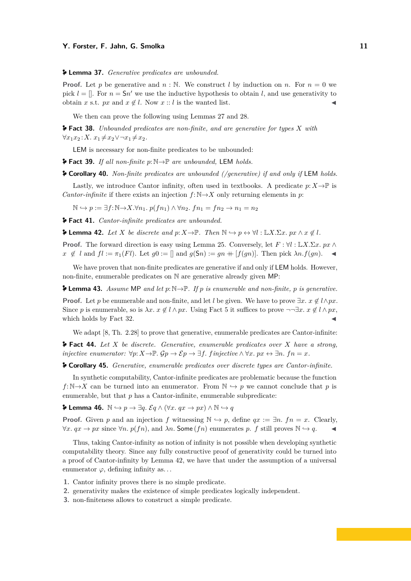**[Lemma 37.](https://ps.uni-saarland.de/extras/reducibility-degrees/coqdoc/Undecidability.Synthetic.FinitenessFacts.html#generative_unbounded)** *Generative predicates are unbounded.*

**Proof.** Let *p* be generative and  $n : \mathbb{N}$ . We construct *l* by induction on *n*. For  $n = 0$  we pick  $l = []$ . For  $n = \mathsf{S}n'$  we use the inductive hypothesis to obtain *l*, and use generativity to obtain *x* s.t. *px* and  $x \notin l$ . Now  $x:: l$  is the wanted list.

We then can prove the following using Lemmas 27 and 28.

**[Fact 38.](https://ps.uni-saarland.de/extras/reducibility-degrees/coqdoc/Undecidability.Synthetic.FinitenessFacts.html#unbounded_non_finite)** *Unbounded predicates are non-finite, and are generative for types X with*  $∀x_1x_2$ :  $X$ .  $x_1 \neq x_2 ∨ ¬x_1 \neq x_2$ .

LEM is necessary for non-finite predicates to be unbounded:

**[Fact 39.](https://ps.uni-saarland.de/extras/reducibility-degrees/coqdoc/Undecidability.Synthetic.FinitenessFacts.html#non_finite_unbounded_LEM_iff)** *If all non-finite p*: N→P *are unbounded,* LEM *holds.*

**[Corollary 40.](https://ps.uni-saarland.de/extras/reducibility-degrees/coqdoc/Undecidability.Synthetic.FinitenessFacts.html#non_exhaustible_unbounded_LEM_iff)** *Non-finite predicates are unbounded (/generative) if and only if* LEM *holds.*

Lastly, we introduce Cantor infinity, often used in textbooks. A predicate  $p: X \rightarrow \mathbb{P}$  is *Cantor-infinite* if there exists an injection  $f: \mathbb{N} \rightarrow X$  only returning elements in *p*:

 $\mathbb{N} \hookrightarrow p := \exists f: \mathbb{N} \rightarrow X \forall n_1 \ldotp p(fn_1) \land \forall n_2 \ldotp f n_1 = f n_2 \rightarrow n_1 = n_2$ 

**[Fact 41.](https://ps.uni-saarland.de/extras/reducibility-degrees/coqdoc/Undecidability.Synthetic.FinitenessFacts.html#dedekind_infinite_unbounded)** *Cantor-infinite predicates are unbounded.*

 $\blacktriangleright$  **[Lemma 42.](https://ps.uni-saarland.de/extras/reducibility-degrees/coqdoc/Undecidability.Synthetic.FinitenessFacts.html#dedekind_infinite_spec)** *Let X be discrete and*  $p: X \rightarrow \mathbb{P}$ *. Then*  $\mathbb{N} \hookrightarrow p \leftrightarrow \forall l : \mathbb{L}X. \Sigma x.$   $px \wedge x \notin l$ *.* 

**Proof.** The forward direction is easy using Lemma 25. Conversely, let  $F : \forall l : \mathbb{L}X.\Sigma x. px \wedge p$  $x \notin l$  and  $fl := \pi_1(Fl)$ . Let  $g0 := \lceil \ln d \rceil g(\mathsf{S}_n) := gn + [f(gn)]$ . Then pick  $\lambda n.f(gn)$ .

We have proven that non-finite predicates are generative if and only if LEM holds. However, non-finite, enumerable predicates on N are generative already given MP:

**F** [Lemma 43.](https://ps.uni-saarland.de/extras/reducibility-degrees/coqdoc/Undecidability.Synthetic.FinitenessFacts.html#MP_non_finite_generative) Assume MP and let  $p: \mathbb{N} \to \mathbb{P}$ . If p is enumerable and non-finite, p is generative.

**Proof.** Let *p* be enumerable and non-finite, and let *l* be given. We have to prove  $\exists x \cdot x \notin l \wedge px$ . Since *p* is enumerable, so is  $\lambda x. x \notin l \wedge px$ . Using Fact 5 it suffices to prove  $\neg\neg \exists x. x \notin l \wedge px$ , which holds by Fact 32.

We adapt [8, Th. 2.28] to prove that generative, enumerable predicates are Cantor-infinite:

**[Fact 44.](https://ps.uni-saarland.de/extras/reducibility-degrees/coqdoc/Undecidability.Synthetic.FinitenessFacts.html#generative_enumerable_strong)** *Let X be discrete. Generative, enumerable predicates over X have a strong, injective enumerator:*  $\forall p: X \rightarrow \mathbb{P}$ *.*  $\mathcal{G}p \rightarrow \mathcal{E}p \rightarrow \exists f$ *. finjective*  $\land \forall x. px \leftrightarrow \exists n$ *. fn* = *x.* 

**[Corollary 45.](https://ps.uni-saarland.de/extras/reducibility-degrees/coqdoc/Undecidability.Synthetic.FinitenessFacts.html#generative_dedekind_infinite)** *Generative, enumerable predicates over discrete types are Cantor-infinite.*

In synthetic computability, Cantor-infinite predicates are problematic because the function  $f:\mathbb{N}\rightarrow X$  can be turned into an enumerator. From  $\mathbb{N}\hookrightarrow p$  we cannot conclude that p is enumerable, but that  $p$  has a Cantor-infinite, enumerable subpredicate:

 $\blacktriangleright$  **[Lemma 46.](https://ps.uni-saarland.de/extras/reducibility-degrees/coqdoc/Undecidability.Synthetic.FinitenessFacts.html#dedekind_infinite_problem)**  $\mathbb{N} \hookrightarrow p \rightarrow \exists q$ .  $\mathcal{E}q \wedge (\forall x. qx \rightarrow px) \wedge \mathbb{N} \hookrightarrow q$ 

**Proof.** Given *p* and an injection *f* witnessing  $\mathbb{N} \hookrightarrow p$ , define  $qx := \exists n$ . *fn* = *x*. Clearly,  $\forall x. qx \rightarrow px$  since  $\forall n. p(fn)$ , and  $\lambda n$ . Some  $(fn)$  enumerates p. f still proves  $\mathbb{N} \hookrightarrow q$ .

Thus, taking Cantor-infinity as notion of infinity is not possible when developing synthetic computability theory. Since any fully constructive proof of generativity could be turned into a proof of Cantor-infinity by Lemma 42, we have that under the assumption of a universal enumerator  $\varphi$ , defining infinity as...

- **1.** Cantor infinity proves there is no simple predicate.
- **2.** generativity makes the existence of simple predicates logically independent.

**3.** non-finiteness allows to construct a simple predicate.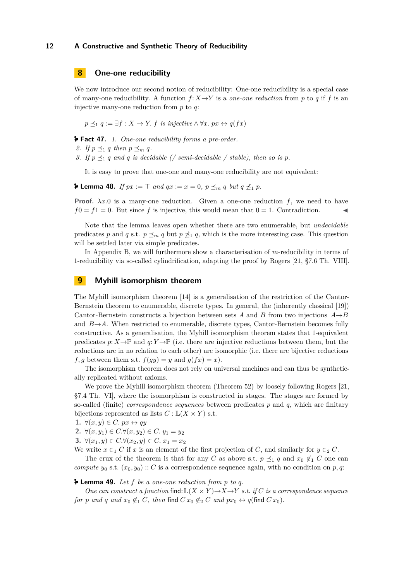### **8 One-one reducibility**

We now introduce our second notion of reducibility: One-one reducibility is a special case of many-one reducibility. A function  $f: X \rightarrow Y$  is a *one-one reduction* from p to q if f is an injective many-one reduction from *p* to *q*:

 $p \preceq_1 q := \exists f : X \to Y$ . *f is injective*  $\land \forall x.$   $px \leftrightarrow q(fx)$ 

**[Fact 47.](https://ps.uni-saarland.de/extras/reducibility-degrees/coqdoc/Undecidability.Synthetic.reductions.html#red_1_reflexive)** *[1.](https://ps.uni-saarland.de/extras/reducibility-degrees/coqdoc/Undecidability.Synthetic.reductions.html#red_1_reflexive) One-one reducibility forms a pre-order.*

- [2.](https://ps.uni-saarland.de/extras/reducibility-degrees/coqdoc/Undecidability.Synthetic.reductions.html#red_oo_mm) If  $p \leq_1 q$  then  $p \leq_m q$ .
- *[3.](https://ps.uni-saarland.de/extras/reducibility-degrees/coqdoc/Undecidability.Synthetic.reductions.html#red_1_transports )* If  $p \leq_1 q$  and q is decidable (/ semi-decidable / stable), then so is p.

It is easy to prove that one-one and many-one reducibility are not equivalent:

**2** [Lemma 48.](https://ps.uni-saarland.de/extras/reducibility-degrees/coqdoc/Undecidability.Synthetic.reductions.html#red_m_nat_0) *If*  $px := T$  *and*  $qx := x = 0$ *,*  $p \leq_m q$  *but*  $q \nleq_1 p$ *.* 

**Proof.**  $\lambda x.0$  is a many-one reduction. Given a one-one reduction f, we need to have  $f0 = f1 = 0$ . But since f is injective, this would mean that  $0 = 1$ . Contradiction.

Note that the lemma leaves open whether there are two enumerable, but *undecidable* predicates p and q s.t.  $p \leq_m q$  but  $p \nleq_1 q$ , which is the more interesting case. This question will be settled later via simple predicates.

In Appendix B, we will furthermore show a characterisation of *m*-reducibility in terms of 1-reducibility via so-called cylindrification, adapting the proof by Rogers [21, §7.6 Th. VIII].

### **9 Myhill isomorphism theorem**

The Myhill isomorphism theorem [14] is a generalisation of the restriction of the Cantor-Bernstein theorem to enumerable, discrete types. In general, the (inherently classical [19]) Cantor-Bernstein constructs a bijection between sets *A* and *B* from two injections  $A \rightarrow B$ and  $B\rightarrow A$ . When restricted to enumerable, discrete types, Cantor-Bernstein becomes fully constructive. As a generalisation, the Myhill isomorphism theorem states that 1-equivalent predicates  $p: X \to \mathbb{P}$  and  $q: Y \to \mathbb{P}$  (i.e. there are injective reductions between them, but the reductions are in no relation to each other) are isomorphic (i.e. there are bijective reductions  $f, g$  between them s.t.  $f(gy) = y$  and  $g(fx) = x$ .

The isomorphism theorem does not rely on universal machines and can thus be synthetically replicated without axioms.

We prove the Myhill isomorphism theorem (Theorem 52) by loosely following Rogers [21, §7.4 Th. VI], where the isomorphism is constructed in stages. The stages are formed by so-called (finite) *correspondence sequences* between predicates *p* and *q*, which are finitary bijections represented as lists  $C : \mathbb{L}(X \times Y)$  s.t.

**1.**  $\forall (x, y) \in C$ .  $px \leftrightarrow qy$ 

2. 
$$
\forall (x, y_1) \in C \forall (x, y_2) \in C. y_1 = y_2
$$

**3.** ∀( $x_1, y$ ) ∈ *C*.∀( $x_2, y$ ) ∈ *C.*  $x_1 = x_2$ 

We write  $x \in I$  *C* if *x* is an element of the first projection of *C*, and similarly for  $y \in I$ .

The crux of the theorem is that for any *C* as above s.t.  $p \leq_1 q$  and  $x_0 \notin_1 C$  one can *compute*  $y_0$  s.t.  $(x_0, y_0)$  :: *C* is a correspondence sequence again, with no condition on *p*, *q*:

#### **[Lemma 49.](https://ps.uni-saarland.de/extras/reducibility-degrees/coqdoc/Undecidability.Synthetic.myhill.html#find_spec)** *Let f be a one-one reduction from p to q.*

*One can construct a function* find:  $\mathbb{L}(X \times Y) \rightarrow X \rightarrow Y$  *s.t. if C is a correspondence sequence for p and q and*  $x_0 \notin I$  *C, then* find  $C x_0 \notin I2$  *C and*  $px_0 \leftrightarrow q$  (find  $C x_0$ )*.*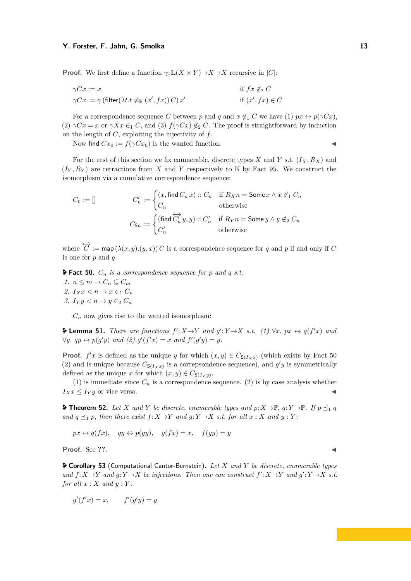**Proof.** We first define a function  $\gamma: L(X \times Y) \to X \to X$  recursive in  $|C|$ :

$$
\gamma C x := x
$$
if  $f x \notin_2 C$   

$$
\gamma C x := \gamma (\text{filter}(\lambda t. t \neq_{\mathbb{B}} (x', fx)) C) x'
$$
if  $(x', fx) \in C$ 

For a correspondence sequence *C* between *p* and *q* and  $x \notin I$  *C* we have (1)  $px \leftrightarrow p(\gamma Cx)$ , (2)  $\gamma Cx = x$  or  $\gamma Xx \in C$ , and (3)  $f(\gamma Cx) \notin C$ . The proof is straightforward by induction on the length of *C*, exploiting the injectivity of *f*.

Now find  $Cx_0 := f(\gamma C x_0)$  is the wanted function.

For the rest of this section we fix enumerable, discrete types *X* and *Y* s.t. (*IX, RX*) and  $(I_Y, R_Y)$  are retractions from *X* and *Y* respectively to N by Fact 95. We construct the isomorphism via a cumulative correspondence sequence:

$$
C_0 := [] \qquad \qquad C'_n := \begin{cases} (x, \text{find } C_n \, x) :: C_n & \text{if } R_X n = \text{Some } x \land x \notin_1 C_n \\ C_n & \text{otherwise} \end{cases}
$$
\n
$$
C_{\mathsf{S}n} := \begin{cases} (\text{find } \overleftrightarrow{C'_n} \, y, y) :: C'_n & \text{if } R_Y n = \text{Some } y \land y \notin_2 C_n \\ C'_n & \text{otherwise} \end{cases}
$$

where  $\overleftrightarrow{C} := \text{map}(\lambda(x, y), (y, x)) C$  is a correspondence sequence for *q* and *p* if and only if *C* is one for *p* and *q*.

**[Fact 50.](https://ps.uni-saarland.de/extras/reducibility-degrees/coqdoc/Undecidability.Synthetic.myhill.html#build_corr_corr)**  $C_n$  *is a correspondence sequence for*  $p$  *and*  $q$  *s.t. [1.](https://ps.uni-saarland.de/extras/reducibility-degrees/coqdoc/Undecidability.Synthetic.myhill.html#build_corr_mono)*  $n \leq m \to C_n \subseteq C_m$ [2.](https://ps.uni-saarland.de/extras/reducibility-degrees/coqdoc/Undecidability.Synthetic.myhill.html#build_corrX)  $I_X x \leq n \rightarrow x \in I$   $C_n$ 

*[3.](https://ps.uni-saarland.de/extras/reducibility-degrees/coqdoc/Undecidability.Synthetic.myhill.html#build_corrY)*  $I_Y y \leq n \rightarrow y \in_2 C_n$ 

 $C_n$  now gives rise to the wanted isomorphism:

**[Lemma 51.](https://ps.uni-saarland.de/extras/reducibility-degrees/coqdoc/Undecidability.Synthetic.myhill.html#f)** *There are functions*  $f': X \to Y$  *and*  $g': Y \to X$  *s.t.* (1)  $\forall x.$   $px \leftrightarrow q(f'x)$  *and*  $∀y. qy ↔ p(g'y)$  *and*  $(2)$   $g'(f'x) = x$  *and*  $f'(g'y) = y$ *.* 

**Proof.**  $f'x$  is defined as the unique *y* for which  $(x, y) \in C_{\mathsf{S}(I_Xx)}$  (which exists by Fact 50) (2) and is unique because  $C_{\mathsf{S}(I_Xx)}$  is a correpsondence sequence), and  $g'y$  is symmetrically defined as the unique *x* for which  $(x, y) \in C_{\mathsf{S}(I_Y y)}$ .

(1) is immediate since  $C_n$  is a correspondence sequence. (2) is by case analysis whether  $I_X x \leq I_Y y$  or vice versa.

**Fineorem 52.** Let *X* and *Y* be discrete, enumerable types and  $p: X \rightarrow \mathbb{P}$ ,  $q: Y \rightarrow \mathbb{P}$ . If  $p \preceq_1 q$ *and*  $q \leq_1 p$ , then there exist  $f: X \rightarrow Y$  *and*  $g: Y \rightarrow X$  *s.t. for all*  $x: X$  *and*  $y: Y: Y \rightarrow Y$ 

 $px \leftrightarrow q(fx)$ ,  $qy \leftrightarrow p(qy)$ ,  $q(fx) = x$ ,  $f(qy) = y$ 

**Proof.** See ??.

**[Corollary 53](https://ps.uni-saarland.de/extras/reducibility-degrees/coqdoc/Undecidability.Synthetic.summary_reducibility_degrees.html#Computational_Cantor_Bernstein)** (Computational Cantor-Bernstein)**.** *Let X and Y be discrete, enumerable types and*  $f: X \to Y$  *and*  $g: Y \to X$  *be injections. Then one can construct*  $f': X \to Y$  *and*  $g': Y \to X$  *s.t. for all x* : *X and y* : *Y :*

$$
g'(f'x) = x, \qquad f'(g'y) = y
$$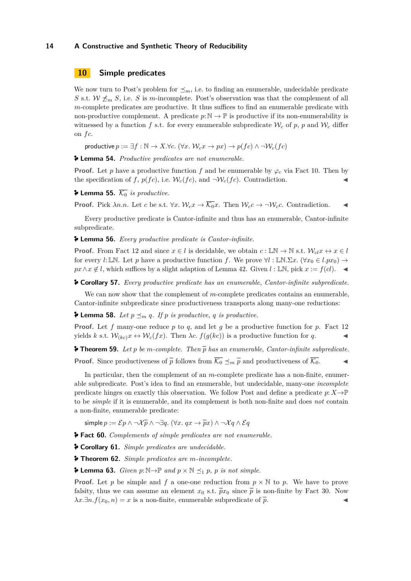### **10 Simple predicates**

We now turn to Post's problem for  $\leq_m$ , i.e. to finding an enumerable, undecidable predicate *S* s.t.  $W \npreceq_m S$ , i.e. *S* is *m*-incomplete. Post's observation was that the complement of all *m*-complete predicates are productive. It thus suffices to find an enumerable predicate with non-productive complement. A predicate  $p: \mathbb{N} \to \mathbb{P}$  is productive if its non-enumerability is witnessed by a function f s.t. for every enumerable subpredicate  $\mathcal{W}_c$  of p, p and  $\mathcal{W}_c$  different on *f c*.

productive  $p := \exists f : \mathbb{N} \to X$ . $\forall c$ .  $(\forall x \colon \mathcal{W}_c x \to px) \to p(fc) \land \neg \mathcal{W}_c(fc)$ 

**[Lemma 54.](https://ps.uni-saarland.de/extras/reducibility-degrees/coqdoc/Undecidability.Synthetic.simple.html#productive_nonenumerable)** *Productive predicates are not enumerable.*

**Proof.** Let *p* have a productive function *f* and be enumerable by  $\varphi_c$  via Fact 10. Then by the specification of *f*,  $p$ (*fc*), i.e.  $W_c$ (*fc*), and  $\neg W_c$ (*fc*). Contradiction.

**F** [Lemma 55.](https://ps.uni-saarland.de/extras/reducibility-degrees/coqdoc/Undecidability.Synthetic.simple.html#K0_productive)  $\overline{\mathcal{K}_0}$  *is productive.* 

**Proof.** Pick  $\lambda n.n$ . Let *c* be s.t.  $\forall x$ .  $\mathcal{W}_c x \to \overline{\mathcal{K}_0} x$ . Then  $\mathcal{W}_c c \to \neg \mathcal{W}_c c$ . Contradiction.

Every productive predicate is Cantor-infinite and thus has an enumerable, Cantor-infinite subpredicate.

**[Lemma 56.](https://ps.uni-saarland.de/extras/reducibility-degrees/coqdoc/Undecidability.Synthetic.simple.html#productive_dedekind_infinite)** *Every productive predicate is Cantor-infinite.*

**Proof.** From Fact 12 and since  $x \in l$  is decidable, we obtain  $c : \mathbb{N} \to \mathbb{N}$  s.t.  $\mathcal{W}_{cl} x \leftrightarrow x \in l$ for every *l*:LN. Let *p* have a productive function *f*. We prove  $\forall l$  : LN. $\Sigma x$ . ( $\forall x_0 \in l$ . $px_0$ )  $\rightarrow$  $px \wedge x \notin l$ , which suffices by a slight adaption of Lemma 42. Given  $l : \mathbb{LN}$ , pick  $x := f(cl)$ .

**[Corollary 57.](https://ps.uni-saarland.de/extras/reducibility-degrees/coqdoc/Undecidability.Synthetic.simple.html#productive_subpredicate)** *Every productive predicate has an enumerable, Cantor-infinite subpredicate.*

We can now show that the complement of *m*-complete predicates contains an enumerable, Cantor-infinite subpredicate since productiveness transports along many-one reductions:

**F** [Lemma 58.](https://ps.uni-saarland.de/extras/reducibility-degrees/coqdoc/Undecidability.Synthetic.simple.html#productive_red) Let  $p \leq_m q$ . If p is productive, q is productive.

**Proof.** Let *f* many-one reduce *p* to *q*, and let *g* be a productive function for *p*. Fact 12 yields *k* s.t.  $W_{(kc)}x \leftrightarrow W_c(fx)$ . Then  $\lambda c$ .  $f(g(kc))$  is a productive function for *q*.

**Figure 759.** *Let*  $p$  *be*  $m$ *-complete. Then*  $\overline{p}$  *has an enumerable, Cantor-infinite subpredicate.* **Proof.** Since productiveness of  $\overline{p}$  follows from  $\overline{\mathcal{K}_0} \preceq_m \overline{p}$  and productiveness of  $\overline{\mathcal{K}_0}$ .

In particular, then the complement of an *m*-complete predicate has a non-finite, enumerable subpredicate. Post's idea to find an enumerable, but undecidable, many-one *incomplete* predicate hinges on exactly this observation. We follow Post and define a predicate  $p: X \to \mathbb{P}$ to be *simple* if it is enumerable, and its complement is both non-finite and does *not* contain a non-finite, enumerable predicate:

 $\mathsf{simple}\ p := \mathcal{E} p \land \neg \mathcal{X} \overline{p} \land \neg \exists q. (\forall x. qx \rightarrow \overline{p}x) \land \neg \mathcal{X} q \land \mathcal{E} q$ 

**[Fact 60.](https://ps.uni-saarland.de/extras/reducibility-degrees/coqdoc/Undecidability.Synthetic.simple.html#simple_non_semi_decidable)** *Complements of simple predicates are not enumerable.*

**[Corollary 61.](https://ps.uni-saarland.de/extras/reducibility-degrees/coqdoc/Undecidability.Synthetic.simple.html#simple_undecidable)** *Simple predicates are undecidable.*

**[Theorem 62.](https://ps.uni-saarland.de/extras/reducibility-degrees/coqdoc/Undecidability.Synthetic.simple.html#simple_m_incomplete)** *Simple predicates are m-incomplete.*

**P** [Lemma 63.](https://ps.uni-saarland.de/extras/reducibility-degrees/coqdoc/Undecidability.Synthetic.simple.html#simple_no_cylinder) *Given*  $p: \mathbb{N} \to \mathbb{P}$  and  $p \times \mathbb{N} \leq_1 p$ , p is not simple.

**Proof.** Let *p* be simple and *f* a one-one reduction from  $p \times N$  to *p*. We have to prove falsity, thus we can assume an element  $x_0$  s.t.  $\overline{p}x_0$  since  $\overline{p}$  is non-finite by Fact 30. Now  $\lambda x.\exists n.f(x_0,n) = x$  is a non-finite, enumerable subpredicate of  $\overline{p}$ .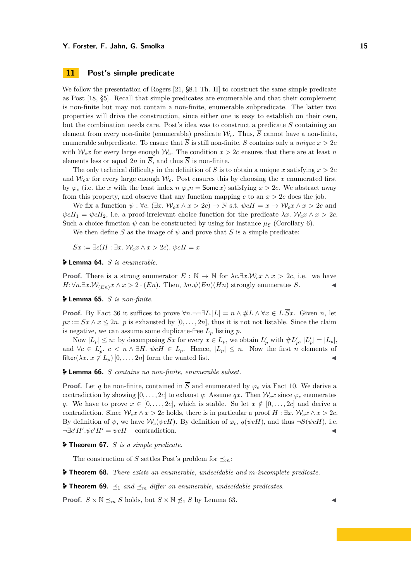### **11 Post's simple predicate**

We follow the presentation of Rogers [21, §8.1 Th. II] to construct the same simple predicate as Post [18, §5]. Recall that simple predicates are enumerable and that their complement is non-finite but may not contain a non-finite, enumerable subpredicate. The latter two properties will drive the construction, since either one is easy to establish on their own, but the combination needs care. Post's idea was to construct a predicate *S* containing an element from every non-finite (enumerable) predicate  $W_c$ . Thus,  $\overline{S}$  cannot have a non-finite, enumerable subpredicate. To ensure that  $\overline{S}$  is still non-finite, *S* contains only a *unique*  $x > 2c$ with  $W_c x$  for every large enough  $W_c$ . The condition  $x > 2c$  ensures that there are at least *n* elements less or equal  $2n$  in  $\overline{S}$ , and thus  $\overline{S}$  is non-finite.

The only technical difficulty in the definition of *S* is to obtain a unique *x* satisfying  $x > 2c$ and  $W_c x$  for every large enough  $W_c$ . Post ensures this by choosing the x enumerated first by  $\varphi_c$  (i.e. the *x* with the least index *n*  $\varphi_c$ *n* = Some *x*) satisfying *x* > 2*c*. We abstract away from this property, and observe that any function mapping  $c$  to an  $x > 2c$  does the job.

We fix a function  $\psi$ :  $\forall c$ . ( $\exists x$ .  $\mathcal{W}_c x \wedge x > 2c$ )  $\rightarrow$  N s.t.  $\psi cH = x \rightarrow \mathcal{W}_c x \wedge x > 2c$  and  $\psi cH_1 = \psi cH_2$ , i.e. a proof-irrelevant choice function for the predicate  $\lambda x$ .  $\mathcal{W}_c x \wedge x > 2c$ . Such a choice function  $\psi$  can be constructed by using for instance  $\mu_{\mathcal{E}}$  (Corollary 6).

We then define *S* as the image of  $\psi$  and prove that *S* is a simple predicate:

 $Sx := \exists c(H : \exists x. \, \mathcal{W}_c x \wedge x > 2c)$ *.*  $\psi cH = x$ 

**[Lemma 64.](https://ps.uni-saarland.de/extras/reducibility-degrees/coqdoc/Undecidability.Synthetic.simple_construction.html#S_enumerator)** *S is enumerable.*

**Proof.** There is a strong enumerator  $E : \mathbb{N} \to \mathbb{N}$  for  $\lambda c.\exists x.\mathcal{W}_c x \wedge x > 2c$ , i.e. we have  $H: \forall n.\exists x.\mathcal{W}_{(En)} x \land x > 2 \cdot (En).$  Then,  $\lambda n.\psi(En)(Hn)$  strongly enumerates *S*.

 $\blacktriangleright$  [Lemma 65.](https://ps.uni-saarland.de/extras/reducibility-degrees/coqdoc/Undecidability.Synthetic.simple_construction.html#S_coInfinite)  $\overline{S}$  *is non-finite.* 

**Proof.** By Fact 36 it suffices to prove  $\forall n.\neg\neg \exists L.|L| = n \land \#L \land \forall x \in L.\overline{S}x$ . Given *n*, let  $px := Sx \wedge x \leq 2n$ . *p* is exhausted by  $[0, \ldots, 2n]$ , thus it is not not listable. Since the claim is negative, we can assume some duplicate-free  $L_p$  listing  $p$ .

Now  $|L_p| \leq n$ : by decomposing *Sx* for every  $x \in L_p$ , we obtain  $L'_p$  with  $\#L'_p$ ,  $|L'_p| = |L_p|$ , and  $\forall c \in L'_p$ ,  $c < n \wedge \exists H$ ,  $\psi cH \in L_p$ . Hence,  $|L_p| \leq n$ . Now the first *n* elements of filter( $\lambda x. x \notin L_p$ ) [0, ..., 2*n*] form the wanted list.

**[Lemma 66.](https://ps.uni-saarland.de/extras/reducibility-degrees/coqdoc/Undecidability.Synthetic.simple_construction.html#S_No_S_Inf_Subset)** *S contains no non-finite, enumerable subset.*

**Proof.** Let *q* be non-finite, contained in  $\overline{S}$  and enumerated by  $\varphi_c$  via Fact 10. We derive a contradiction by showing  $[0, \ldots, 2c]$  to exhaust *q*: Assume *qx*. Then  $\mathcal{W}_c x$  since  $\varphi_c$  enumerates *q*. We have to prove  $x \in [0, \ldots, 2c]$ , which is stable. So let  $x \notin [0, \ldots, 2c]$  and derive a contradiction. Since  $\mathcal{W}_c x \wedge x > 2c$  holds, there is in particular a proof  $H : \exists x \, \mathcal{W}_c x \wedge x > 2c$ . By definition of  $\psi$ , we have  $\mathcal{W}_c(\psi cH)$ . By definition of  $\varphi_c$ ,  $q(\psi cH)$ , and thus  $\neg S(\psi cH)$ , i.e.  $\neg \exists c' H'. \psi c' H' = \psi c H$  – contradiction.

#### **[Theorem 67.](https://ps.uni-saarland.de/extras/reducibility-degrees/coqdoc/Undecidability.Synthetic.simple_construction.html#S_simple)** *S is a simple predicate.*

The construction of *S* settles Post's problem for  $\prec_m$ :

**[Theorem 68.](https://ps.uni-saarland.de/extras/reducibility-degrees/coqdoc/Undecidability.Synthetic.summary_reducibility_degrees.html#Posts_problem_many_one)** *There exists an enumerable, undecidable and m-incomplete predicate.*

**Fineorem 69.**  $\leq_1$  *and*  $\leq_m$  *differ on enumerable, undecidable predicates.* 

**Proof.**  $S \times \mathbb{N} \leq_m S$  holds, but  $S \times \mathbb{N} \leq_1 S$  by Lemma 63.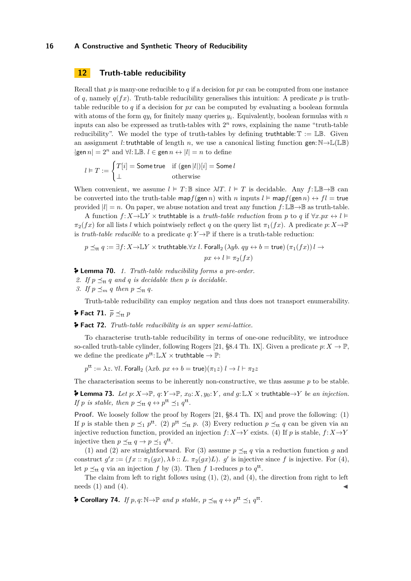### **12 Truth-table reducibility**

Recall that  $p$  is many-one reducible to  $q$  if a decision for  $px$  can be computed from one instance of *q*, namely  $q(fx)$ . Truth-table reducibility generalises this intuition: A predicate *p* is truthtable reducible to  $q$  if a decision for  $px$  can be computed by evaluating a boolean formula with atoms of the form  $qy_i$  for finitely many queries  $y_i$ . Equivalently, boolean formulas with  $n$ inputs can also be expressed as truth-tables with 2 *<sup>n</sup>* rows, explaining the name "truth-table reducibility". We model the type of truth-tables by defining truthtable:  $\mathbb{T} := \mathbb{L} \mathbb{B}$ . Given an assignment *l*:truthtable of length *n*, we use a canonical listing function gen:  $\mathbb{N}\rightarrow\mathbb{L}(\mathbb{LB})$  $|gen n| = 2^n$  and  $\forall l: \mathbb{LB}. l \in gen n \leftrightarrow |l| = n$  to define

$$
l \vDash T := \begin{cases} T[i] = \text{Some true} & \text{if } (\text{gen } |l|)[i] = \text{Some } l \\ \perp & \text{otherwise} \end{cases}
$$

When convenient, we assume  $l \models T : \mathbb{B}$  since  $\lambda T$ .  $l \models T$  is decidable. Any  $f : \mathbb{L} \mathbb{B} \rightarrow \mathbb{B}$  can be converted into the truth-table map $f(\text{gen } n)$  with *n* inputs  $l \vDash \text{map} f(\text{gen } n) \leftrightarrow fl = \text{true}$ provided  $|l| = n$ . On paper, we abuse notation and treat any function  $f: \mathbb{L} \mathbb{B} \to \mathbb{B}$  as truth-table.

A function  $f: X \to \mathbb{L}Y \times$  truthtable is a *truth-table reduction* from *p* to *q* if  $\forall x. px \leftrightarrow l$  $\pi_2(fx)$  for all lists *l* which pointwisely reflect *q* on the query list  $\pi_1(fx)$ . A predicate  $p: X \to \mathbb{P}$ is *truth-table reducible* to a predicate  $q: Y \to \mathbb{P}$  if there is a truth-table reduction:

$$
p\preceq_{\mathsf{tt}} q:=\exists f\mathpunct{:}X\mathpunct{\rightarrow}{\mathbb L} Y\times \mathsf{truthtable}.\forall x\ l.\ \mathsf{Forall}_2\,(\lambda y b.\ q y\leftrightarrow b=\mathsf{true})\,(\pi_1(fx))\,l\rightarrow \newline px\leftrightarrow l\vDash \pi_2(fx)
$$

**[Lemma 70.](https://ps.uni-saarland.de/extras/reducibility-degrees/coqdoc/Undecidability.Synthetic.reductions.html#red_tt_transitive)** *[1.](https://ps.uni-saarland.de/extras/reducibility-degrees/coqdoc/Undecidability.Synthetic.reductions.html#red_tt_reflexive) Truth-table reducibility forms a pre-order.*

- [2.](https://ps.uni-saarland.de/extras/reducibility-degrees/coqdoc/Undecidability.Synthetic.reductions.html#red_tt_transports) If  $p \preceq_{tt} q$  and  $q$  is decidable then  $p$  is decidable.
- *[3.](https://ps.uni-saarland.de/extras/reducibility-degrees/coqdoc/Undecidability.Synthetic.reductions.html#red_mo_tt)* If  $p \leq_m q$  then  $p \leq_{tt} q$ .

Truth-table reducibility can employ negation and thus does not transport enumerability.

### **[Fact 71.](https://ps.uni-saarland.de/extras/reducibility-degrees/coqdoc/Undecidability.Synthetic.reductions.html#red_tt_complement)**  $\overline{p} \preceq_{tt} p$

**[Fact 72.](https://ps.uni-saarland.de/extras/reducibility-degrees/coqdoc/Undecidability.Synthetic.reductions.html#red_tt_join_least)** *Truth-table reducibility is an upper semi-lattice.*

To characterise truth-table reducibility in terms of one-one reduciblity, we introduce so-called truth-table cylinder, following Rogers [21, §8.4 Th. IX]. Given a predicate  $p: X \to \mathbb{P}$ , we define the predicate  $p^{\mathsf{tt}}:\mathbb{L} X \times \mathsf{truthtable} \to \mathbb{P}$ :

 $p^{\text{tt}} := \lambda z$ .  $\forall l$ . Forall $_2$   $(\lambda x b. px \leftrightarrow b = \text{true})(\pi_1 z) \ l \rightarrow l \vdash \pi_2 z$ 

The characterisation seems to be inherently non-constructive, we thus assume *p* to be stable.

 $\blacktriangleright$  **[Lemma 73.](https://ps.uni-saarland.de/extras/reducibility-degrees/coqdoc/Undecidability.Synthetic.reductions.html#redtt_char_as_redm)** *Let*  $p: X \to \mathbb{P}$ ,  $q: Y \to \mathbb{P}$ ,  $x_0: X, y_0: Y$ , and  $q: \mathbb{L}X \times \text{truthtable} \to Y$  *be an injection. If p is stable, then*  $p \preceq_{\text{tt}} q \leftrightarrow p^{\text{tt}} \preceq_1 q^{\text{tt}}$ .

**Proof.** We loosely follow the proof by Rogers [21, §8.4 Th. IX] and prove the following: (1) If *p* is stable then  $p \leq_1 p^{tt}$ . (2)  $p^{tt} \leq_{tt} p$ . (3) Every reduction  $p \leq_{tt} q$  can be given via an injective reduction function, provided an injection  $f: X \rightarrow Y$  exists. (4) If p is stable,  $f: X \rightarrow Y$ injective then  $p \preceq_{\text{tt}} q \to p \preceq_1 q^{\text{tt}}$ .

(1) and (2) are straightforward. For (3) assume  $p \leq_{tt} q$  via a reduction function g and construct  $g'x := (fx :: \pi_1(gx), \lambda b :: L. \pi_2(gx)L)$ . *g*' is injective since *f* is injective. For (4), let  $p \preceq_{tt} q$  via an injection  $f$  by (3). Then  $f$  1-reduces  $p$  to  $q^{tt}$ .

The claim from left to right follows using  $(1)$ ,  $(2)$ , and  $(4)$ , the direction from right to left needs  $(1)$  and  $(4)$ .

**[Corollary 74.](https://ps.uni-saarland.de/extras/reducibility-degrees/coqdoc/Undecidability.Synthetic.reductions.html#redtt_char_as_redo)** *If*  $p, q: \mathbb{N} \to \mathbb{P}$  *and*  $p$  *stable,*  $p \preceq_{\text{tt}} q \leftrightarrow p^{\text{tt}} \preceq_{1} q^{\text{tt}}$ .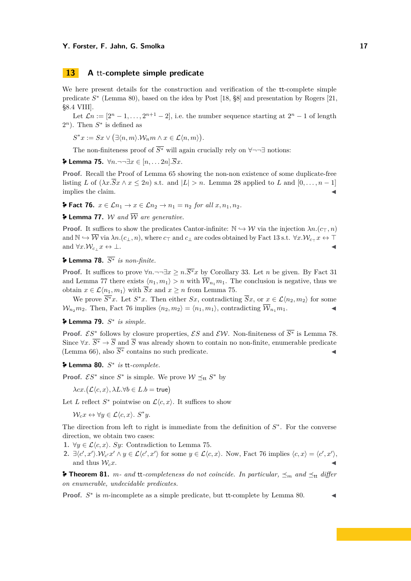### **13 A** tt**-complete simple predicate**

We here present details for the construction and verification of the tt-complete simple predicate  $S^*$  (Lemma 80), based on the idea by Post [18, §8] and presentation by Rogers [21, §8.4 VIII].

Let  $\mathcal{L}n := [2^n - 1, \ldots, 2^{n+1} - 2]$ , i.e. the number sequence starting at  $2^n - 1$  of length  $2<sup>n</sup>$ ). Then  $S^*$  is defined as

 $S^*x := Sx \vee (\exists \langle n,m \rangle \ldotp \mathcal{W}_nm \wedge x \in \mathcal{L}\langle n,m \rangle).$ 

The non-finiteness proof of  $\overline{S^*}$  will again crucially rely on  $\forall \neg \neg \exists$  notions:

**[Lemma 75.](https://ps.uni-saarland.de/extras/reducibility-degrees/coqdoc/Undecidability.Synthetic.reductions.html#S_Pow_WeakEx_NotS)** ∀*n.*¬¬∃*x* ∈ [*n, . . .* 2*n*]*.Sx.*

**Proof.** Recall the Proof of Lemma 65 showing the non-non existence of some duplicate-free listing *L* of  $(\lambda x.\overline{S}x \wedge x \le 2n)$  s.t. and  $|L| > n$ . Lemma 28 applied to *L* and  $[0, \ldots, n-1]$ implies the claim.

**[Fact 76.](https://ps.uni-saarland.de/extras/reducibility-degrees/coqdoc/Undecidability.Synthetic.reductions.html#S_Pow_injective)**  $x \in \mathcal{L}n_1 \rightarrow x \in \mathcal{L}n_2 \rightarrow n_1 = n_2$  for all  $x, n_1, n_2$ .

**2 [Lemma 77.](https://ps.uni-saarland.de/extras/reducibility-degrees/coqdoc/Undecidability.Synthetic.reductions.html#W_Infinite)** W and  $\overline{W}$  are generative.

**Proof.** It suffices to show the predicates Cantor-infinite:  $\mathbb{N} \hookrightarrow \mathcal{W}$  via the injection  $\lambda n.(c_{\top}, n)$ and  $\mathbb{N} \hookrightarrow \overline{\mathcal{W}}$  via  $\lambda n.(c_{\perp}, n)$ , where  $c_{\perp}$  and  $c_{\perp}$  are codes obtained by Fact 13 s.t.  $\forall x. \mathcal{W}_{c_{\perp}} x \leftrightarrow \top$ and  $\forall x. \mathcal{W}_c \, \downarrow x \leftrightarrow \perp$ .

**[Lemma 78.](https://ps.uni-saarland.de/extras/reducibility-degrees/coqdoc/Undecidability.Synthetic.reductions.html#S_Star_coInfinite)** *S*<sup>∗</sup> *is non-finite.*

**Proof.** It suffices to prove  $\forall n.\neg\neg \exists x \geq n.\overline{S^*}x$  by Corollary 33. Let *n* be given. By Fact 31 and Lemma 77 there exists  $\langle n_1, m_1 \rangle > n$  with  $\overline{W}_{n_1} m_1$ . The conclusion is negative, thus we obtain  $x \in \mathcal{L}\langle n_1, m_1 \rangle$  with  $\overline{S}x$  and  $x \geq n$  from Lemma 75.

We prove  $\overline{S^*}x$ . Let  $S^*x$ . Then either  $Sx$ , contradicting  $\overline{S}x$ , or  $x \in \mathcal{L}\langle n_2, m_2 \rangle$  for some  $W_n, m_2$ . Then, Fact 76 implies  $\langle n_2, m_2 \rangle = \langle n_1, m_1 \rangle$ , contradicting  $\overline{W}_n, m_1$ .

**[Lemma 79.](https://ps.uni-saarland.de/extras/reducibility-degrees/coqdoc/Undecidability.Synthetic.reductions.html#S_Star_simple)** *S* ∗ *is simple.*

**Proof.**  $\mathcal{E}S^*$  follows by closure properties,  $\mathcal{E}S$  and  $\mathcal{E}W$ . Non-finiteness of  $\overline{S^*}$  is Lemma 78. Since  $\forall x \cdot \overline{S^*} \to \overline{S}$  and  $\overline{S}$  was already shown to contain no non-finite, enumerable predicate (Lemma 66), also  $\overline{S^*}$  contains no such predicate.

**[Lemma 80.](https://ps.uni-saarland.de/extras/reducibility-degrees/coqdoc/Undecidability.Synthetic.reductions.html#tt_red_W_S_Star)** *S* ∗ *is* tt*-complete.*

**Proof.**  $\mathcal{E}S^*$  since  $S^*$  is simple. We prove  $\mathcal{W} \preceq_{\text{tt}} S^*$  by

 $\lambda cx. (\mathcal{L}\langle c, x \rangle, \lambda L. \forall b \in L.b = \text{true})$ 

Let *L* reflect  $S^*$  pointwise on  $\mathcal{L}\langle c, x \rangle$ . It suffices to show

 $\mathcal{W}_c x \leftrightarrow \forall y \in \mathcal{L}\langle c, x \rangle$ .  $S^* y$ .

The direction from left to right is immediate from the definition of *S* ∗ . For the converse direction, we obtain two cases:

- **1.** ∀*y* ∈  $\mathcal{L}\langle c, x \rangle$ *. Sy:* Contradiction to Lemma 75.
- **2.**  $\exists \langle c', x' \rangle \cdot \mathcal{W}_{c'} x' \land y \in \mathcal{L} \langle c', x' \rangle$  for some  $y \in \mathcal{L} \langle c, x \rangle$ . Now, Fact 76 implies  $\langle c, x \rangle = \langle c', x' \rangle$ , and thus  $\mathcal{W}_c x$ .

**Fineorem 81.** *m-* and tt-completeness do not coincide. In particular,  $\leq_m$  and  $\leq_{\text{tt}}$  differ *on enumerable, undecidable predicates.*

**Proof.**  $S^*$  is *m*-incomplete as a simple predicate, but tt-complete by Lemma 80.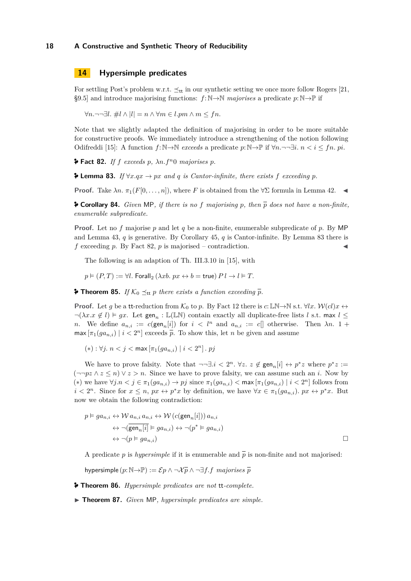### **14 Hypersimple predicates**

For settling Post's problem w.r.t.  $\preceq_{tt}$  in our synthetic setting we once more follow Rogers [21, §9.5] and introduce majorising functions: *f*: N→N *majorises* a predicate *p*: N→P if

∀*n.*¬¬∃*l.* #*l* ∧ |*l*| = *n* ∧ ∀*m* ∈ *l.pm* ∧ *m* ≤ *fn.*

Note that we slightly adapted the definition of majorising in order to be more suitable for constructive proofs. We immediately introduce a strengthening of the notion following Odifreddi [15]: A function  $f:\mathbb{N}\to\mathbb{N}$  *exceeds* a predicate  $p:\mathbb{N}\to\mathbb{P}$  if  $\forall n.\neg\neg\exists i.\; n < i \leq fn.\;pi$ .

 $\blacktriangleright$  **[Fact 82.](https://ps.uni-saarland.de/extras/reducibility-degrees/coqdoc/Undecidability.Synthetic.hypersimple.html#exceeds_majorises)** *If f exceeds p*,  $\lambda n.f^n0$  *majorises p*.

**[Lemma 83.](https://ps.uni-saarland.de/extras/reducibility-degrees/coqdoc/Undecidability.Synthetic.hypersimple.html#dedekind_infinite_exceeds)** *If* ∀*x.qx* → *px and q is Cantor-infinite, there exists f exceeding p.*

**Proof.** Take  $\lambda n \cdot \pi_1(F[0, \ldots, n])$ , where *F* is obtained from the  $\forall \Sigma$  formula in Lemma 42.

**P** [Corollary 84.](https://ps.uni-saarland.de/extras/reducibility-degrees/coqdoc/Undecidability.Synthetic.hypersimple.html#hyperimmune_immune) *Given* MP, *if there is no f majorising* p, then  $\overline{p}$  does not have a non-finite, *enumerable subpredicate.*

**Proof.** Let no *f* majorise *p* and let *q* be a non-finite, enumerable subpredicate of *p*. By MP and Lemma 43, *q* is generative. By Corollary 45, *q* is Cantor-infinite. By Lemma 83 there is  $f$  exceeding  $p$ . By Fact 82,  $p$  is majorised – contradiction.

The following is an adaption of Th. III.3.10 in [15], with

 $p \models (P, T) := \forall l$ . Forall<sub>2</sub> ( $\lambda x b$ .  $px \leftrightarrow b =$  true)  $Pl \rightarrow l \models T$ .

**P** [Theorem 85.](https://ps.uni-saarland.de/extras/reducibility-degrees/coqdoc/Undecidability.Synthetic.hypersimple.html#tt_complete_exceeds) If  $K_0 \leq_{\text{tt}} p$  there exists a function exceeding  $\bar{p}$ .

**Proof.** Let *g* be a tt-reduction from  $\mathcal{K}_0$  to *p*. By Fact 12 there is *c*: LN→N s.t.  $\forall lx. \mathcal{W}(cl)x \leftrightarrow$  $\neg(\lambda x.x \notin l) \models gx.$  Let  $\text{gen}_n : \mathbb{L}(\mathbb{LN})$  contain exactly all duplicate-free lists *l* s.t. max  $l \leq$ *n*. We define  $a_{n,i} := c(\text{gen}_n[i])$  for  $i < l^n$  and  $a_{n,i} := c[$  otherwise. Then  $\lambda n$ . 1 +  $\max[\pi_1(ga_{n,i}) \mid i < 2^n]$  exceeds  $\overline{p}$ . To show this, let *n* be given and assume

 $(*)$  :  $\forall j. \ n < j < \max \left[ \pi_1(ga_{n,i}) \mid i < 2^n \right]$ . *pj* 

We have to prove falsity. Note that  $\neg\neg \exists . i < 2^n$ .  $\forall z. z \notin \text{gen}_n[i] \leftrightarrow p^*z$  where  $p^*z :=$  $(\neg \neg pz \land z \leq n) \lor z > n$ . Since we have to prove falsity, we can assume such an *i*. Now by (\*) we have  $\forall j.n < j \in \pi_1(ga_{n,i}) \rightarrow pj$  since  $\pi_1(ga_{n,i}) < \max[\pi_1(ga_{n,i}) \mid i < 2^n]$  follows from  $i < 2^n$ . Since for  $x \leq n$ ,  $px \leftrightarrow p^*x$  by definition, we have  $\forall x \in \pi_1(ga_{n,i})$ .  $px \leftrightarrow p^*x$ . But now we obtain the following contradiction:

$$
p \vDash ga_{n,i} \leftrightarrow \mathcal{W} \ a_{n,i} \ a_{n,i} \leftrightarrow \mathcal{W} \left( c(\text{gen}_n[i]) \right) a_{n,i}
$$

$$
\leftrightarrow \neg(\overline{\text{gen}_n[i]} \vDash ga_{n,i}) \leftrightarrow \neg(p^* \vDash ga_{n,i})
$$

$$
\leftrightarrow \neg(p \vDash ga_{n,i})
$$

A predicate p is *hypersimple* if it is enumerable and  $\overline{p}$  is non-finite and not majorised:

hypersimple  $(p: \mathbb{N} \rightarrow \mathbb{P}) := \mathcal{E}p \land \neg \mathcal{X}\overline{p} \land \neg \exists f \ldotp f \text{ \textit{majorises\textcolor{black}{\overline{p}}}$ 

**[Theorem 86.](https://ps.uni-saarland.de/extras/reducibility-degrees/coqdoc/Undecidability.Synthetic.hypersimple.html#hypersimple_tt_incomplete)** *Hypersimple predicates are not* tt*-complete.*

▶ **Theorem 87.** *Given* MP, *hypersimple predicates are simple.*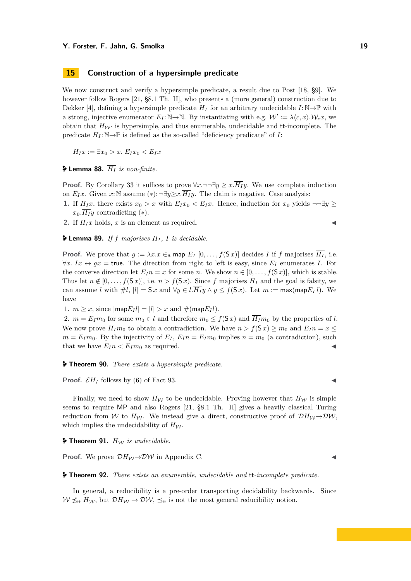### **15 Construction of a hypersimple predicate**

We now construct and verify a hypersimple predicate, a result due to Post [18, §9]. We however follow Rogers [21, §8.1 Th. II], who presents a (more general) construction due to Dekker [4], defining a hypersimple predicate  $H_I$  for an arbitrary undecidable  $I: \mathbb{N} \to \mathbb{P}$  with a strong, injective enumerator  $E_I: \mathbb{N} \to \mathbb{N}$ . By instantiating with e.g.  $\mathcal{W}' := \lambda \langle c, x \rangle \cdot \mathcal{W}_c x$ , we obtain that  $H_{\mathcal{W}'}$  is hypersimple, and thus enumerable, undecidable and tt-incomplete. The predicate  $H_I: \mathbb{N} \to \mathbb{P}$  is defined as the so-called "deficiency predicate" of *I*:

 $H_I x := \exists x_0 > x$ .  $E_I x_0 < E_I x$ 

 $\blacktriangleright$  [Lemma 88.](https://ps.uni-saarland.de/extras/reducibility-degrees/coqdoc/Undecidability.Synthetic.hypersimple_construction.html#HS_co_infinite)  $\overline{H_I}$  *is non-finite.* 

**Proof.** By Corollary 33 it suffices to prove  $\forall x.\neg\neg \exists y \geq x.\overline{H_I}y$ . We use complete induction on *E*<sub>I</sub>*x*. Given *x*: N assume  $(*): \neg \exists y \geq x \cdot \overline{H_1}y$ . The claim is negative. Case analysis:

- 1. If  $H_Ix$ , there exists  $x_0 > x$  with  $E_Ix_0 < E_Ix$ . Hence, induction for  $x_0$  yields  $\neg \exists y \geq$  $x_0.\overline{H}_I y$  contradicting (\*).
- **2.** If  $\overline{H}_I x$  holds, *x* is an element as required.

 $\blacktriangleright$  **[Lemma 89.](https://ps.uni-saarland.de/extras/reducibility-degrees/coqdoc/Undecidability.Synthetic.hypersimple_construction.html#HS_no_majorize)** *If f majorises*  $\overline{H_I}$ , *I is decidable.* 

**Proof.** We prove that  $g := \lambda x.x \in_B \text{map } E_I [0, \ldots, f(Sx)]$  decides *I* if *f* majorises  $\overline{H_I}$ , i.e.  $∀x. Ix ↔ gx = true.$  The direction from right to left is easy, since  $E_I$  enumerates *I*. For the converse direction let  $E_I n = x$  for some *n*. We show  $n \in [0, \ldots, f(S x)]$ , which is stable. Thus let  $n \notin [0, \ldots, f(Sx)]$ , i.e.  $n > f(Sx)$ . Since *f* majorises  $\overline{H_I}$  and the goal is falsity, we can assume *l* with  $\#l$ ,  $|l| = Sx$  and  $\forall y \in l.\overline{H_I}y \land y \leq f(Sx)$ . Let  $m := \max(\text{map } E_I l)$ . We have

1.  $m \geq x$ , since  $|\text{map } E_I l| = |l| > x$  and  $\#(\text{map } E_I l)$ .

2.  $m = E_I m_0$  for some  $m_0 \in l$  and therefore  $m_0 \le f(Sx)$  and  $\overline{H_I} m_0$  by the properties of *l*. We now prove  $H_I m_0$  to obtain a contradiction. We have  $n > f(\mathsf{S} x) \geq m_0$  and  $E_I n = x \leq$  $m = E_I m_0$ . By the injectivity of  $E_I$ ,  $E_I n = E_I m_0$  implies  $n = m_0$  (a contradiction), such that we have  $E_I n \leq E_I m_0$  as required.

**[Theorem 90.](https://ps.uni-saarland.de/extras/reducibility-degrees/coqdoc/Undecidability.Synthetic.hypersimple_construction.html#HS_hypersimple)** *There exists a hypersimple predicate.*

**Proof.**  $\mathcal{E}H$ *I* follows by (6) of Fact 93.

Finally, we need to show  $H_W$  to be undecidable. Proving however that  $H_W$  is simple seems to require MP and also Rogers [21, §8.1 Th. II] gives a heavily classical Turing reduction from W to  $H_W$ . We instead give a direct, constructive proof of  $\mathcal{D}H_W\to \mathcal{D}W$ , which implies the undecidability of  $H_W$ .

**Figure 10.** *H<sub>W</sub> is undecidable.* 

**Proof.** We prove  $\mathcal{D}H_W \rightarrow \mathcal{D}W$  in Appendix C.

**[Theorem 92.](https://ps.uni-saarland.de/extras/reducibility-degrees/coqdoc/Undecidability.Synthetic.summary_reducibility_degrees.html#Posts_problem_truth_table)** *There exists an enumerable, undecidable and* tt*-incomplete predicate.*

In general, a reducibility is a pre-order transporting decidability backwards. Since  $W \npreceq_{tt} H_W$ , but  $\mathcal{D}H_W \to \mathcal{D}W$ ,  $\preceq_{tt}$  is not the most general reducibility notion.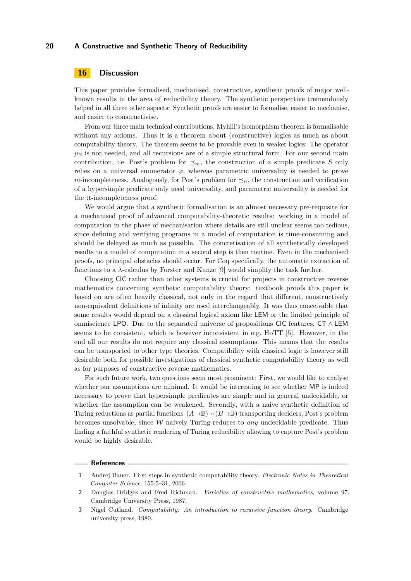### **16 Discussion**

This paper provides formalised, mechanised, constructive, synthetic proofs of major wellknown results in the area of reducibility theory. The synthetic perspective tremendously helped in all three other aspects: Synthetic proofs are easier to formalise, easier to mechanise, and easier to constructivise.

From our three main technical contributions, Myhill's isomorphism theorem is formalisable without any axioms. Thus it is a theorem about (constructive) logics as much as about computability theory. The theorem seems to be provable even in weaker logics: The operator  $\mu_{\rm N}$  is not needed, and all recursions are of a simple structural form. For our second main contribution, i.e. Post's problem for  $\leq_m$ , the construction of a simple predicate *S* only relies on a universal enumerator  $\varphi$ , whereas parametric universality is needed to prove *m*-incompleteness. Analogously, for Post's problem for  $\preceq_{tt}$ , the construction and verification of a hypersimple predicate only need universality, and parametric universality is needed for the tt-incompleteness proof.

We would argue that a synthetic formalisation is an almost necessary pre-requisite for a mechanised proof of advanced computability-theoretic results: working in a model of computation in the phase of mechanisation where details are still unclear seems too tedious, since defining and verifying programs in a model of computation is time-consuming and should be delayed as much as possible. The concretisation of all synthetically developed results to a model of computation in a second step is then routine. Even in the mechanised proofs, no principal obstacles should occur. For Coq specifically, the automatic extraction of functions to a  $\lambda$ -calculus by Forster and Kunze [9] would simplify the task further.

Choosing CIC rather than other systems is crucial for projects in constructive reverse mathematics concerning synthetic computability theory: textbook proofs this paper is based on are often heavily classical, not only in the regard that different, constructively non-equivalent definitions of infinity are used interchangeably. It was thus conceivable that some results would depend on a classical logical axiom like LEM or the limited principle of omniscience LPO. Due to the separated universe of propositions CIC features, CT ∧ LEM seems to be consistent, which is however inconsistent in e.g. HoTT [5]. However, in the end all our results do not require any classical assumptions. This means that the results can be transported to other type theories. Compatibility with classical logic is however still desirable both for possible investigations of classical synthetic computability theory as well as for purposes of constructive reverse mathematics.

For such future work, two questions seem most prominent: First, we would like to analyse whether our assumptions are minimal. It would be interesting to see whether MP is indeed necessary to prove that hypersimple predicates are simple and in general undecidable, or whether the assumption can be weakened. Secondly, with a naive synthetic definition of Turing reductions as partial functions  $(A \rightarrow B) \rightarrow (B \rightarrow B)$  transporting deciders, Post's problem becomes unsolvable, since  $W$  naively Turing-reduces to *any* undecidable predicate. Thus finding a faithful synthetic rendering of Turing reducibility allowing to capture Post's problem would be highly desirable.

#### **References**

**<sup>1</sup>** Andrej Bauer. First steps in synthetic computability theory. *Electronic Notes in Theoretical Computer Science*, 155:5–31, 2006.

**<sup>2</sup>** Douglas Bridges and Fred Richman. *Varieties of constructive mathematics*, volume 97. Cambridge University Press, 1987.

**<sup>3</sup>** Nigel Cutland. *Computability: An introduction to recursive function theory*. Cambridge university press, 1980.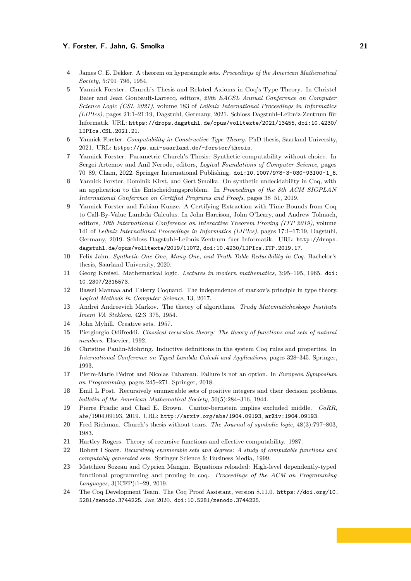#### **Y. Forster, F. Jahn, G. Smolka 21**

- **4** James C. E. Dekker. A theorem on hypersimple sets. *Proceedings of the American Mathematical Society*, 5:791–796, 1954.
- **5** Yannick Forster. Church's Thesis and Related Axioms in Coq's Type Theory. In Christel Baier and Jean Goubault-Larrecq, editors, *29th EACSL Annual Conference on Computer Science Logic (CSL 2021)*, volume 183 of *Leibniz International Proceedings in Informatics (LIPIcs)*, pages 21:1–21:19, Dagstuhl, Germany, 2021. Schloss Dagstuhl–Leibniz-Zentrum für Informatik. URL: <https://drops.dagstuhl.de/opus/volltexte/2021/13455>, [doi:10.4230/](https://doi.org/10.4230/LIPIcs.CSL.2021.21) [LIPIcs.CSL.2021.21](https://doi.org/10.4230/LIPIcs.CSL.2021.21).
- **6** Yannick Forster. *Computability in Constructive Type Theory*. PhD thesis, Saarland University, 2021. URL: <https://ps.uni-saarland.de/~forster/thesis>.
- **7** Yannick Forster. Parametric Church's Thesis: Synthetic computability without choice. In Sergei Artemov and Anil Nerode, editors, *Logical Foundations of Computer Science*, pages 70–89, Cham, 2022. Springer International Publishing. [doi:10.1007/978-3-030-93100-1\\_6](https://doi.org/10.1007/978-3-030-93100-1_6).
- **8** Yannick Forster, Dominik Kirst, and Gert Smolka. On synthetic undecidability in Coq, with an application to the Entscheidungsproblem. In *Proceedings of the 8th ACM SIGPLAN International Conference on Certified Programs and Proofs*, pages 38–51, 2019.
- **9** Yannick Forster and Fabian Kunze. A Certifying Extraction with Time Bounds from Coq to Call-By-Value Lambda Calculus. In John Harrison, John O'Leary, and Andrew Tolmach, editors, *10th International Conference on Interactive Theorem Proving (ITP 2019)*, volume 141 of *Leibniz International Proceedings in Informatics (LIPIcs)*, pages 17:1–17:19, Dagstuhl, Germany, 2019. Schloss Dagstuhl–Leibniz-Zentrum fuer Informatik. URL: [http://drops.](http://drops.dagstuhl.de/opus/volltexte/2019/11072) [dagstuhl.de/opus/volltexte/2019/11072](http://drops.dagstuhl.de/opus/volltexte/2019/11072), [doi:10.4230/LIPIcs.ITP.2019.17](https://doi.org/10.4230/LIPIcs.ITP.2019.17).
- **10** Felix Jahn. *Synthetic One-One, Many-One, and Truth-Table Reducibility in Coq*. Bachelor's thesis, Saarland University, 2020.
- **11** Georg Kreisel. Mathematical logic. *Lectures in modern mathematics*, 3:95–195, 1965. [doi:](https://doi.org/10.2307/2315573) [10.2307/2315573](https://doi.org/10.2307/2315573).
- **12** Bassel Mannaa and Thierry Coquand. The independence of markov's principle in type theory. *Logical Methods in Computer Science*, 13, 2017.
- **13** Andrei Andreevich Markov. The theory of algorithms. *Trudy Matematicheskogo Instituta Imeni VA Steklova*, 42:3–375, 1954.
- **14** John Myhill. Creative sets. 1957.
- **15** Piergiorgio Odifreddi. *Classical recursion theory: The theory of functions and sets of natural numbers*. Elsevier, 1992.
- **16** Christine Paulin-Mohring. Inductive definitions in the system Coq rules and properties. In *International Conference on Typed Lambda Calculi and Applications*, pages 328–345. Springer, 1993.
- **17** Pierre-Marie Pédrot and Nicolas Tabareau. Failure is not an option. In *European Symposium on Programming*, pages 245–271. Springer, 2018.
- **18** Emil L Post. Recursively enumerable sets of positive integers and their decision problems. *bulletin of the American Mathematical Society*, 50(5):284–316, 1944.
- **19** Pierre Pradic and Chad E. Brown. Cantor-bernstein implies excluded middle. *CoRR*, abs/1904.09193, 2019. URL: <http://arxiv.org/abs/1904.09193>, [arXiv:1904.09193](http://arxiv.org/abs/1904.09193).
- **20** Fred Richman. Church's thesis without tears. *The Journal of symbolic logic*, 48(3):797–803, 1983.
- **21** Hartley Rogers. Theory of recursive functions and effective computability. 1987.
- **22** Robert I Soare. *Recursively enumerable sets and degrees: A study of computable functions and computably generated sets*. Springer Science & Business Media, 1999.
- **23** Matthieu Sozeau and Cyprien Mangin. Equations reloaded: High-level dependently-typed functional programming and proving in coq. *Proceedings of the ACM on Programming Languages*, 3(ICFP):1–29, 2019.
- **24** The Coq Development Team. The Coq Proof Assistant, version 8.11.0. [https://doi.org/10.](https://doi.org/10.5281/zenodo.3744225) [5281/zenodo.3744225](https://doi.org/10.5281/zenodo.3744225), Jan 2020. [doi:10.5281/zenodo.3744225](https://doi.org/10.5281/zenodo.3744225).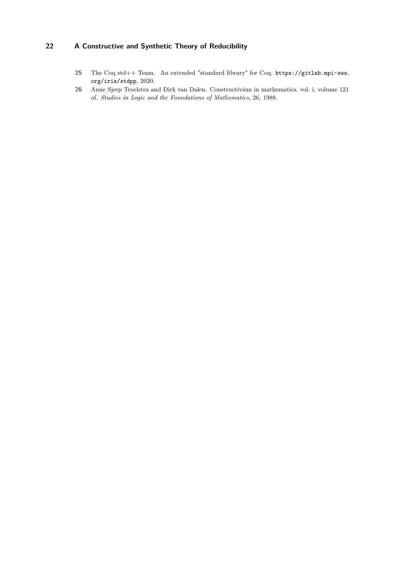- **25** The Coq std++ Team. An extended "standard library" for Coq. [https://gitlab.mpi-sws.](https://gitlab.mpi-sws.org/iris/stdpp) [org/iris/stdpp](https://gitlab.mpi-sws.org/iris/stdpp), 2020.
- **26** Anne Sjerp Troelstra and Dirk van Dalen. Constructivism in mathematics. vol. i, volume 121 of. *Studies in Logic and the Foundations of Mathematics*, 26, 1988.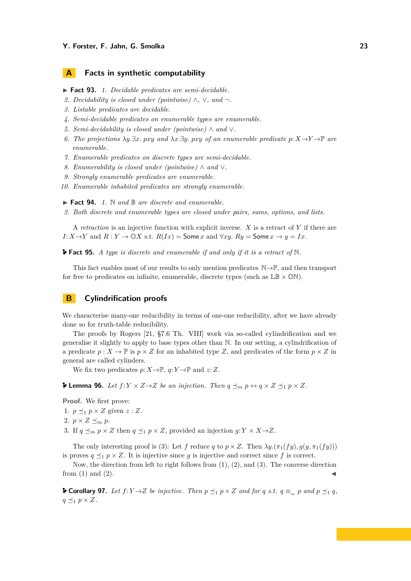### **A Facts in synthetic computability**

- I **Fact 93.** *[1.](https://ps.uni-saarland.de/extras/reducibility-degrees/coqdoc/Undecidability.Synthetic.SemiDecidabilityFacts.html#decidable_semi_decidable) Decidable predicates are semi-decidable.*
- *[2.](https://ps.uni-saarland.de/extras/reducibility-degrees/coqdoc/Undecidability.Synthetic.DecidabilityFacts.html#decidable_conj) Decidability is closed under (pointwise)* ∧*,* ∨*, and* ¬*.*
- *[3.](https://ps.uni-saarland.de/extras/reducibility-degrees/coqdoc/Undecidability.Synthetic.DecidabilityFacts.html#listable_decidable) Listable predicates are decidable.*
- *[4.](https://ps.uni-saarland.de/extras/reducibility-degrees/coqdoc/Undecidability.Synthetic.SemiDecidabilityFacts.html#semi_decidable_enumerable) Semi-decidable predicates on enumerable types are enumerable.*
- *[5.](https://ps.uni-saarland.de/extras/reducibility-degrees/coqdoc/Undecidability.Synthetic.SemiDecidabilityFacts.html#semi_decidable_and) Semi-decidability is closed under (pointwise)* ∧ *and* ∨*.*
- *[6.](https://ps.uni-saarland.de/extras/reducibility-degrees/coqdoc/Undecidability.Synthetic.EnumerabilityFacts.html#enumerable_projection1) The projections*  $\lambda y.\exists x.$  *pxy and*  $\lambda x.\exists y.$  *pxy of an enumerable predicate*  $p:X\rightarrow Y\rightarrow \mathbb{P}$  *are enumerable.*
- *[7.](https://ps.uni-saarland.de/extras/reducibility-degrees/coqdoc/Undecidability.Synthetic.SemiDecidabilityFacts.html#enumerable_semi_decidable) Enumerable predicates on discrete types are semi-decidable.*
- *[8.](https://ps.uni-saarland.de/extras/reducibility-degrees/coqdoc/Undecidability.Synthetic.EnumerabilityFacts.html#enumerable_conj) Enumerability is closed under (pointwise)* ∧ *and* ∨*.*
- *[9.](https://ps.uni-saarland.de/extras/reducibility-degrees/coqdoc/Undecidability.Synthetic.EnumerabilityFacts.html#enumerable_strongly_enumerable_iff) Strongly enumerable predicates are enumerable.*
- *[10.](https://ps.uni-saarland.de/extras/reducibility-degrees/coqdoc/Undecidability.Synthetic.EnumerabilityFacts.html#enumerable_strongly_enumerable_iff) Enumerable inhabited predicates are strongly enumerable.*
- I **Fact 94.** *[1.](https://ps.uni-saarland.de/extras/reducibility-degrees/coqdoc/Undecidability.Synthetic.DecidabilityFacts.html#discrete_nat)* N *and* B *are discrete and enumerable.*
- *[2.](https://ps.uni-saarland.de/extras/reducibility-degrees/coqdoc/Undecidability.Synthetic.DecidabilityFacts.html#discrete_prod) Both discrete and enumerable types are closed under pairs, sums, options, and lists.*

A *retraction* is an injective function with explicit inverse. *X* is a retract of *Y* if there are *I*:  $X \rightarrow Y$  and  $R: Y \rightarrow \mathbb{O}X$  s.t.  $R(Ix) = \text{Some } x$  and  $\forall xy. Ry = \text{Some } x \rightarrow y = Ix$ .

**[Fact 95.](https://ps.uni-saarland.de/extras/reducibility-degrees/coqdoc/Undecidability.Synthetic.EnumerabilityFacts.html#datatype_retract)** *A type is discrete and enumerable if and only if it is a retract of* N*.*

This fact enables most of our results to only mention predicates  $N \rightarrow \mathbb{P}$ , and then transport for free to predicates on infinite, enumerable, discrete types (such as  $L\mathbb{B} \times \mathbb{O}N$ ).

### **B Cylindrification proofs**

We characterise many-one reducibility in terms of one-one reducibility, after we have already done so for truth-table reducibility.

The proofs by Rogers [21, §7.6 Th. VIII] work via so-called cylindrification and we generalise it slightly to apply to base types other than N. In our setting, a cylindrification of a predicate  $p: X \to \mathbb{P}$  is  $p \times Z$  for an inhabited type Z, and predicates of the form  $p \times Z$  in general are called cylinders.

We fix two predicates  $p: X \to \mathbb{P}$ ,  $q: Y \to \mathbb{P}$  and  $z: Z$ .

 $\blacktriangleright$  **[Lemma 96.](https://ps.uni-saarland.de/extras/reducibility-degrees/coqdoc/Undecidability.Synthetic.EnumerabilityFacts.html#char_mm_oo)** Let  $f: Y \times Z \rightarrow Z$  be an injection. Then  $q \leq_m p \leftrightarrow q \times Z \leq_1 p \times Z$ .

**Proof.** We first prove:

- [1.](https://ps.uni-saarland.de/extras/reducibility-degrees/coqdoc/Undecidability.Synthetic.EnumerabilityFacts.html#char_1)  $p \preceq_1 p \times Z$  given  $z: Z$ .
- [2.](https://ps.uni-saarland.de/extras/reducibility-degrees/coqdoc/Undecidability.Synthetic.EnumerabilityFacts.html#char_2)  $p \times Z \preceq_m p$ .
- [3.](https://ps.uni-saarland.de/extras/reducibility-degrees/coqdoc/Undecidability.Synthetic.EnumerabilityFacts.html#char_3) If  $q \leq_m p \times Z$  then  $q \leq_1 p \times Z$ , provided an injection  $q: Y \times X \rightarrow Z$ .

The only interesting proof is (3): Let f reduce q to  $p \times Z$ . Then  $\lambda y.(\pi_1(fy), g(y, \pi_1(fy)))$ is proves  $q \prec_1 p \times Z$ . It is injective since q is injective and correct since f is correct.

Now, the direction from left to right follows from  $(1)$ ,  $(2)$ , and  $(3)$ . The converse direction from  $(1)$  and  $(2)$ .

**P** [Corollary 97.](https://ps.uni-saarland.de/extras/reducibility-degrees/coqdoc/Undecidability.Synthetic.EnumerabilityFacts.html#red_o_max) Let  $f: Y \to Z$  be injective. Then  $p \leq_1 p \times Z$  and for q s.t.  $q \equiv_m p$  and  $p \leq_1 q$ ,  $q \preceq_1 p \times Z$ *.*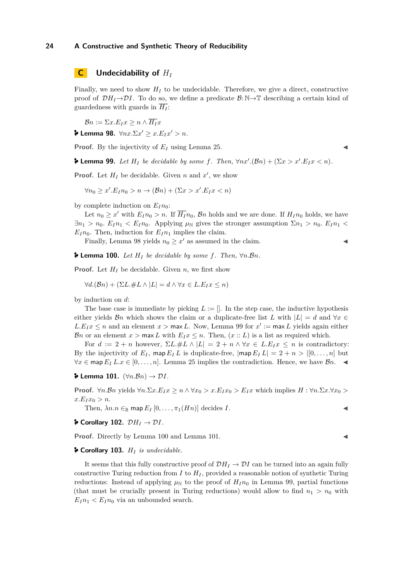### **C Undecidability of** *H<sup>I</sup>*

Finally, we need to show  $H_I$  to be undecidable. Therefore, we give a direct, constructive proof of  $\mathcal{D}H_I\rightarrow\mathcal{D}I$ . To do so, we define a predicate  $\mathcal{B}:\mathbb{N}\rightarrow\mathbb{T}$  describing a certain kind of guardedness with guards in  $\overline{H_I}$ :

 $\mathcal{B}_n := \sum x \cdot E_I x > n \wedge \overline{H_I} x$ 

**[Lemma 98.](https://ps.uni-saarland.de/extras/reducibility-degrees/coqdoc/Undecidability.Synthetic.EnumerabilityFacts.html#greater_el)**  $\forall nx.\Sigma x' \geq x.E_Ix' > n$ .

**Proof.** By the injectivity of  $E_I$  using Lemma 25.

**[Lemma 99.](https://ps.uni-saarland.de/extras/reducibility-degrees/coqdoc/Undecidability.Synthetic.EnumerabilityFacts.html#inner_loop)** *Let*  $H_I$  *be decidable by some f. Then*,  $\forall nx'.(\mathcal{B}n) + (\Sigma x > x'.E_I x < n)$ *.* 

**Proof.** Let  $H_I$  be decidable. Given *n* and  $x'$ , we show

 $\forall n_0 \geq x'. E_I n_0 > n \rightarrow (\mathcal{B}n) + (\Sigma x > x'. E_I x < n)$ 

by complete induction on  $E_I n_0$ :

Let  $n_0 \geq x'$  with  $E_I n_0 > n$ . If  $\overline{H_I} n_0$ ,  $\mathcal{B}n$  holds and we are done. If  $H_I n_0$  holds, we have  $\exists n_1 > n_0$ .  $E_I n_1 < E_I n_0$ . Applying  $\mu_N$  gives the stronger assumption  $\Sigma n_1 > n_0$ .  $E_I n_1 <$  $E_I n_0$ . Then, induction for  $E_I n_1$  implies the claim.

Finally, Lemma 98 yields  $n_0 \geq x'$  as assumed in the claim.

**[Lemma 100.](https://ps.uni-saarland.de/extras/reducibility-degrees/coqdoc/Undecidability.Synthetic.EnumerabilityFacts.html#all_boundable)** *Let H<sup>I</sup> be decidable by some f. Then,* ∀*n.*B*n.*

**Proof.** Let  $H_I$  be decidable. Given *n*, we first show

 $\forall d.(\mathcal{B}_n) + (\Sigma L \neq L \wedge |L| = d \wedge \forall x \in L \neq E_I x \leq n$ 

by induction on *d*:

The base case is immediate by picking  $L := []$ . In the step case, the inductive hypothesis either yields  $\mathcal{B}_n$  which shows the claim or a duplicate-free list *L* with  $|L| = d$  and  $\forall x \in$  $L.E_I x \le n$  and an element  $x > \max L$ . Now, Lemma 99 for  $x' := \max L$  yields again either Bn or an element  $x > \max L$  with  $E_I x \leq n$ . Then,  $(x :: L)$  is a list as required which.

For  $d := 2 + n$  however,  $\Sigma L \# L \wedge |L| = 2 + n \wedge \forall x \in L \# L \times \mathbb{Z}$  is contradictory: By the injectivity of  $E_I$ , map  $E_I L$  is duplicate-free,  $|\text{map } E_I L| = 2 + n > |[0, \ldots, n]$  but  $∀x ∈ \text{map } E_I L.x ∈ [0, ..., n]$ . Lemma 25 implies the contradiction. Hence, we have  $Bn$ .  $\blacktriangleleft$ 

**[Lemma 101.](https://ps.uni-saarland.de/extras/reducibility-degrees/coqdoc/Undecidability.Synthetic.EnumerabilityFacts.html#bound_dec)** (∀*n.*B*n*) → D*I.*

**Proof.**  $\forall n. \mathcal{B}n$  yields  $\forall n. \Sigma x. E_I x \geq n \land \forall x_0 > x. E_I x_0 > E_I x$  which implies  $H : \forall n. \Sigma x. \forall x_0 >$  $x.E_I x_0 > n.$ 

Then,  $\lambda n.n \in \mathbb{B}$  map  $E_I$   $[0, \ldots, \pi_1(Hn)]$  decides *I*.

**P** [Corollary 102.](https://ps.uni-saarland.de/extras/reducibility-degrees/coqdoc/Undecidability.Synthetic.EnumerabilityFacts.html#HS_red)  $\mathcal{D}H_I \rightarrow \mathcal{D}I$ .

**Proof.** Directly by Lemma 100 and Lemma 101.

#### **[Corollary 103.](https://ps.uni-saarland.de/extras/reducibility-degrees/coqdoc/Undecidability.Synthetic.EnumerabilityFacts.html#HS_undec)** *H<sup>I</sup> is undecidable.*

It seems that this fully constructive proof of  $\mathcal{D}H_I \to \mathcal{D}I$  can be turned into an again fully constructive Turing reduction from *I* to  $H_I$ , provided a reasonable notion of synthetic Turing reductions: Instead of applying  $\mu_N$  to the proof of  $H_1n_0$  in Lemma 99, partial functions (that must be crucially present in Turing reductions) would allow to find  $n_1 > n_0$  with  $E_I n_1 < E_I n_0$  via an unbounded search.